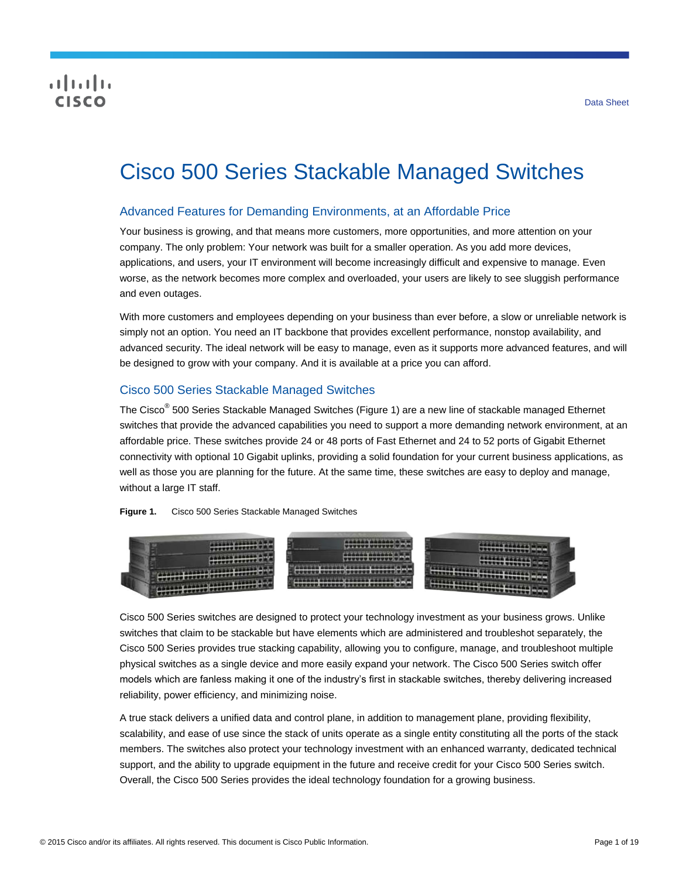# **CISCO**

# Cisco 500 Series Stackable Managed Switches

# Advanced Features for Demanding Environments, at an Affordable Price

Your business is growing, and that means more customers, more opportunities, and more attention on your company. The only problem: Your network was built for a smaller operation. As you add more devices, applications, and users, your IT environment will become increasingly difficult and expensive to manage. Even worse, as the network becomes more complex and overloaded, your users are likely to see sluggish performance and even outages.

With more customers and employees depending on your business than ever before, a slow or unreliable network is simply not an option. You need an IT backbone that provides excellent performance, nonstop availability, and advanced security. The ideal network will be easy to manage, even as it supports more advanced features, and will be designed to grow with your company. And it is available at a price you can afford.

# Cisco 500 Series Stackable Managed Switches

The Cisco<sup>®</sup> 500 Series Stackable Managed Switches (Figure 1) are a new line of stackable managed Ethernet switches that provide the advanced capabilities you need to support a more demanding network environment, at an affordable price. These switches provide 24 or 48 ports of Fast Ethernet and 24 to 52 ports of Gigabit Ethernet connectivity with optional 10 Gigabit uplinks, providing a solid foundation for your current business applications, as well as those you are planning for the future. At the same time, these switches are easy to deploy and manage, without a large IT staff.

**Figure 1.** Cisco 500 Series Stackable Managed Switches



Cisco 500 Series switches are designed to protect your technology investment as your business grows. Unlike switches that claim to be stackable but have elements which are administered and troubleshot separately, the Cisco 500 Series provides true stacking capability, allowing you to configure, manage, and troubleshoot multiple physical switches as a single device and more easily expand your network. The Cisco 500 Series switch offer models which are fanless making it one of the industry's first in stackable switches, thereby delivering increased reliability, power efficiency, and minimizing noise.

A true stack delivers a unified data and control plane, in addition to management plane, providing flexibility, scalability, and ease of use since the stack of units operate as a single entity constituting all the ports of the stack members. The switches also protect your technology investment with an enhanced warranty, dedicated technical support, and the ability to upgrade equipment in the future and receive credit for your Cisco 500 Series switch. Overall, the Cisco 500 Series provides the ideal technology foundation for a growing business.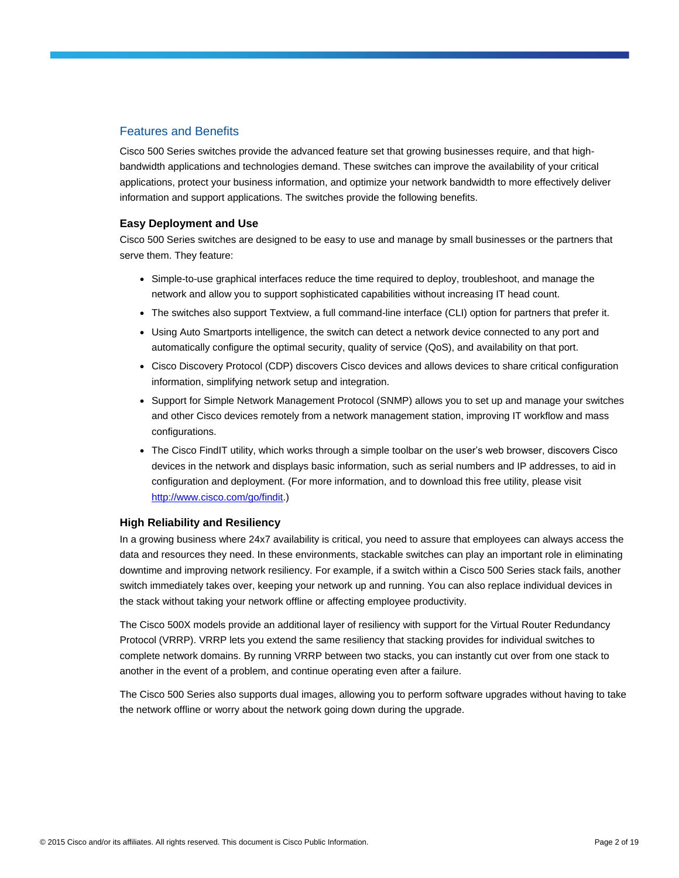# Features and Benefits

Cisco 500 Series switches provide the advanced feature set that growing businesses require, and that highbandwidth applications and technologies demand. These switches can improve the availability of your critical applications, protect your business information, and optimize your network bandwidth to more effectively deliver information and support applications. The switches provide the following benefits.

#### **Easy Deployment and Use**

Cisco 500 Series switches are designed to be easy to use and manage by small businesses or the partners that serve them. They feature:

- Simple-to-use graphical interfaces reduce the time required to deploy, troubleshoot, and manage the network and allow you to support sophisticated capabilities without increasing IT head count.
- The switches also support Textview, a full command-line interface (CLI) option for partners that prefer it.
- Using Auto Smartports intelligence, the switch can detect a network device connected to any port and automatically configure the optimal security, quality of service (QoS), and availability on that port.
- Cisco Discovery Protocol (CDP) discovers Cisco devices and allows devices to share critical configuration information, simplifying network setup and integration.
- Support for Simple Network Management Protocol (SNMP) allows you to set up and manage your switches and other Cisco devices remotely from a network management station, improving IT workflow and mass configurations.
- The Cisco FindIT utility, which works through a simple toolbar on the user's web browser, discovers Cisco devices in the network and displays basic information, such as serial numbers and IP addresses, to aid in configuration and deployment. (For more information, and to download this free utility, please visit [http://www.cisco.com/go/findit.\)](http://www.cisco.com/go/findit)

#### **High Reliability and Resiliency**

In a growing business where 24x7 availability is critical, you need to assure that employees can always access the data and resources they need. In these environments, stackable switches can play an important role in eliminating downtime and improving network resiliency. For example, if a switch within a Cisco 500 Series stack fails, another switch immediately takes over, keeping your network up and running. You can also replace individual devices in the stack without taking your network offline or affecting employee productivity.

The Cisco 500X models provide an additional layer of resiliency with support for the Virtual Router Redundancy Protocol (VRRP). VRRP lets you extend the same resiliency that stacking provides for individual switches to complete network domains. By running VRRP between two stacks, you can instantly cut over from one stack to another in the event of a problem, and continue operating even after a failure.

The Cisco 500 Series also supports dual images, allowing you to perform software upgrades without having to take the network offline or worry about the network going down during the upgrade.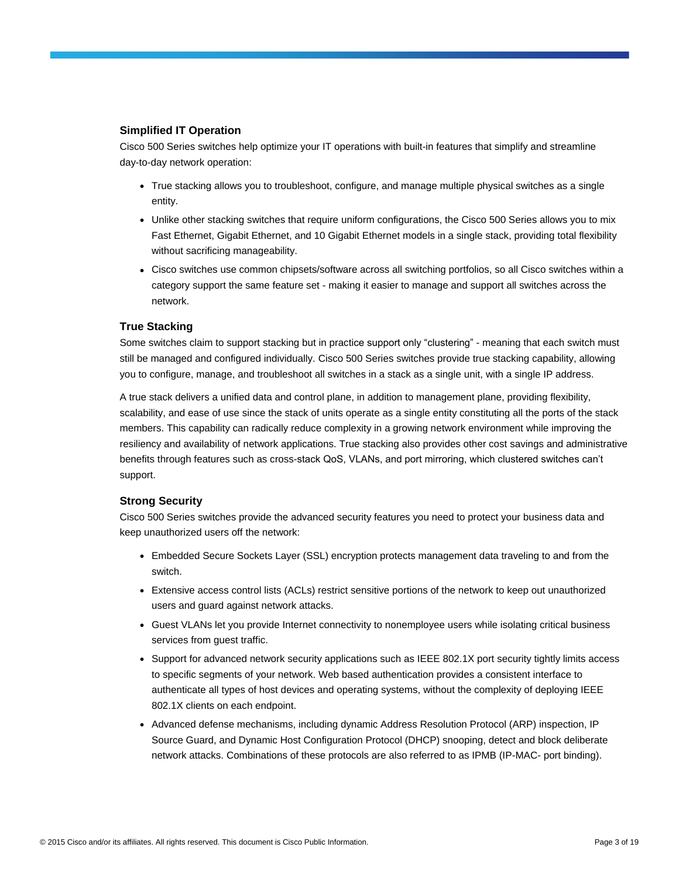## **Simplified IT Operation**

Cisco 500 Series switches help optimize your IT operations with built-in features that simplify and streamline day-to-day network operation:

- True stacking allows you to troubleshoot, configure, and manage multiple physical switches as a single entity.
- Unlike other stacking switches that require uniform configurations, the Cisco 500 Series allows you to mix Fast Ethernet, Gigabit Ethernet, and 10 Gigabit Ethernet models in a single stack, providing total flexibility without sacrificing manageability.
- Cisco switches use common chipsets/software across all switching portfolios, so all Cisco switches within a category support the same feature set - making it easier to manage and support all switches across the network.

## **True Stacking**

Some switches claim to support stacking but in practice support only "clustering" - meaning that each switch must still be managed and configured individually. Cisco 500 Series switches provide true stacking capability, allowing you to configure, manage, and troubleshoot all switches in a stack as a single unit, with a single IP address.

A true stack delivers a unified data and control plane, in addition to management plane, providing flexibility, scalability, and ease of use since the stack of units operate as a single entity constituting all the ports of the stack members. This capability can radically reduce complexity in a growing network environment while improving the resiliency and availability of network applications. True stacking also provides other cost savings and administrative benefits through features such as cross-stack QoS, VLANs, and port mirroring, which clustered switches can't support.

## **Strong Security**

Cisco 500 Series switches provide the advanced security features you need to protect your business data and keep unauthorized users off the network:

- Embedded Secure Sockets Layer (SSL) encryption protects management data traveling to and from the switch.
- Extensive access control lists (ACLs) restrict sensitive portions of the network to keep out unauthorized users and guard against network attacks.
- Guest VLANs let you provide Internet connectivity to nonemployee users while isolating critical business services from guest traffic.
- Support for advanced network security applications such as IEEE 802.1X port security tightly limits access to specific segments of your network. Web based authentication provides a consistent interface to authenticate all types of host devices and operating systems, without the complexity of deploying IEEE 802.1X clients on each endpoint.
- Advanced defense mechanisms, including dynamic Address Resolution Protocol (ARP) inspection, IP Source Guard, and Dynamic Host Configuration Protocol (DHCP) snooping, detect and block deliberate network attacks. Combinations of these protocols are also referred to as IPMB (IP-MAC- port binding).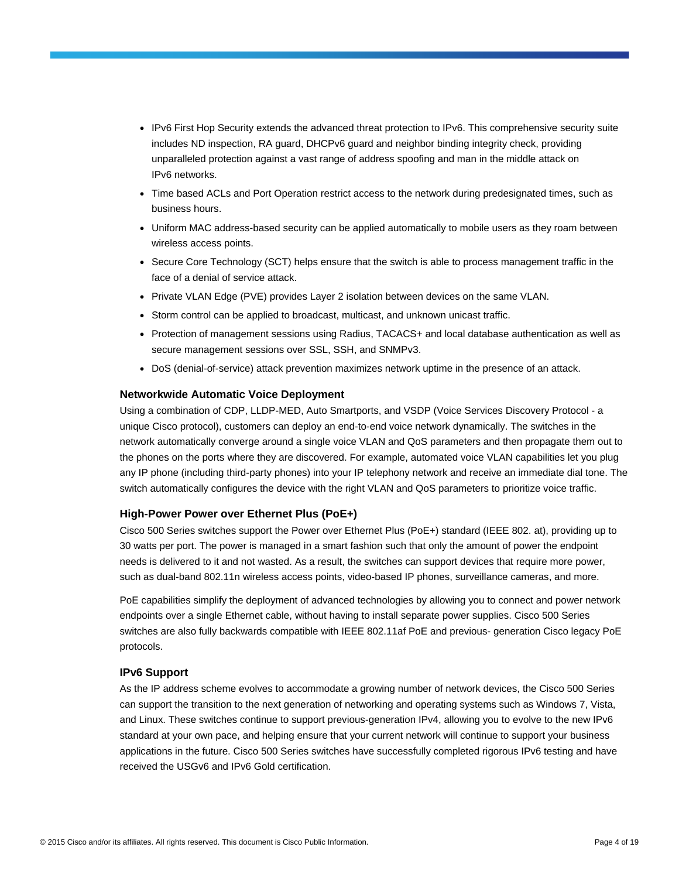- IPv6 First Hop Security extends the advanced threat protection to IPv6. This comprehensive security suite includes ND inspection, RA guard, DHCPv6 guard and neighbor binding integrity check, providing unparalleled protection against a vast range of address spoofing and man in the middle attack on IPv6 networks.
- Time based ACLs and Port Operation restrict access to the network during predesignated times, such as business hours.
- Uniform MAC address-based security can be applied automatically to mobile users as they roam between wireless access points.
- Secure Core Technology (SCT) helps ensure that the switch is able to process management traffic in the face of a denial of service attack.
- Private VLAN Edge (PVE) provides Layer 2 isolation between devices on the same VLAN.
- Storm control can be applied to broadcast, multicast, and unknown unicast traffic.
- Protection of management sessions using Radius, TACACS+ and local database authentication as well as secure management sessions over SSL, SSH, and SNMPv3.
- DoS (denial-of-service) attack prevention maximizes network uptime in the presence of an attack.

#### **Networkwide Automatic Voice Deployment**

Using a combination of CDP, LLDP-MED, Auto Smartports, and VSDP (Voice Services Discovery Protocol - a unique Cisco protocol), customers can deploy an end-to-end voice network dynamically. The switches in the network automatically converge around a single voice VLAN and QoS parameters and then propagate them out to the phones on the ports where they are discovered. For example, automated voice VLAN capabilities let you plug any IP phone (including third-party phones) into your IP telephony network and receive an immediate dial tone. The switch automatically configures the device with the right VLAN and QoS parameters to prioritize voice traffic.

#### **High-Power Power over Ethernet Plus (PoE+)**

Cisco 500 Series switches support the Power over Ethernet Plus (PoE+) standard (IEEE 802. at), providing up to 30 watts per port. The power is managed in a smart fashion such that only the amount of power the endpoint needs is delivered to it and not wasted. As a result, the switches can support devices that require more power, such as dual-band 802.11n wireless access points, video-based IP phones, surveillance cameras, and more.

PoE capabilities simplify the deployment of advanced technologies by allowing you to connect and power network endpoints over a single Ethernet cable, without having to install separate power supplies. Cisco 500 Series switches are also fully backwards compatible with IEEE 802.11af PoE and previous- generation Cisco legacy PoE protocols.

#### **IPv6 Support**

As the IP address scheme evolves to accommodate a growing number of network devices, the Cisco 500 Series can support the transition to the next generation of networking and operating systems such as Windows 7, Vista, and Linux. These switches continue to support previous-generation IPv4, allowing you to evolve to the new IPv6 standard at your own pace, and helping ensure that your current network will continue to support your business applications in the future. Cisco 500 Series switches have successfully completed rigorous IPv6 testing and have received the USGv6 and IPv6 Gold certification.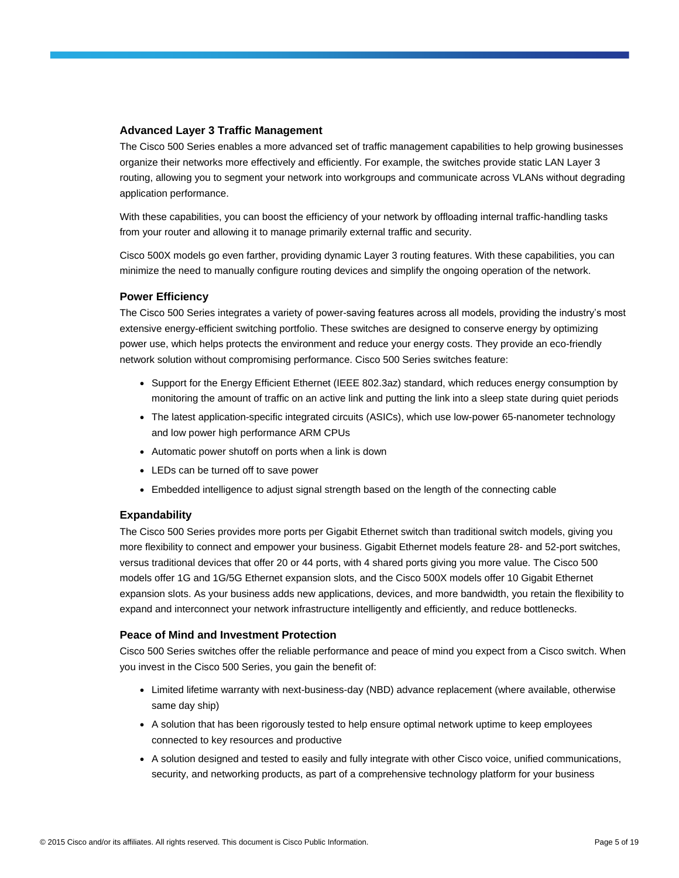#### **Advanced Layer 3 Traffic Management**

The Cisco 500 Series enables a more advanced set of traffic management capabilities to help growing businesses organize their networks more effectively and efficiently. For example, the switches provide static LAN Layer 3 routing, allowing you to segment your network into workgroups and communicate across VLANs without degrading application performance.

With these capabilities, you can boost the efficiency of your network by offloading internal traffic-handling tasks from your router and allowing it to manage primarily external traffic and security.

Cisco 500X models go even farther, providing dynamic Layer 3 routing features. With these capabilities, you can minimize the need to manually configure routing devices and simplify the ongoing operation of the network.

## **Power Efficiency**

The Cisco 500 Series integrates a variety of power-saving features across all models, providing the industry's most extensive energy-efficient switching portfolio. These switches are designed to conserve energy by optimizing power use, which helps protects the environment and reduce your energy costs. They provide an eco-friendly network solution without compromising performance. Cisco 500 Series switches feature:

- Support for the Energy Efficient Ethernet (IEEE 802.3az) standard, which reduces energy consumption by monitoring the amount of traffic on an active link and putting the link into a sleep state during quiet periods
- The latest application-specific integrated circuits (ASICs), which use low-power 65-nanometer technology and low power high performance ARM CPUs
- Automatic power shutoff on ports when a link is down
- LEDs can be turned off to save power
- Embedded intelligence to adjust signal strength based on the length of the connecting cable

## **Expandability**

The Cisco 500 Series provides more ports per Gigabit Ethernet switch than traditional switch models, giving you more flexibility to connect and empower your business. Gigabit Ethernet models feature 28- and 52-port switches, versus traditional devices that offer 20 or 44 ports, with 4 shared ports giving you more value. The Cisco 500 models offer 1G and 1G/5G Ethernet expansion slots, and the Cisco 500X models offer 10 Gigabit Ethernet expansion slots. As your business adds new applications, devices, and more bandwidth, you retain the flexibility to expand and interconnect your network infrastructure intelligently and efficiently, and reduce bottlenecks.

## **Peace of Mind and Investment Protection**

Cisco 500 Series switches offer the reliable performance and peace of mind you expect from a Cisco switch. When you invest in the Cisco 500 Series, you gain the benefit of:

- Limited lifetime warranty with next-business-day (NBD) advance replacement (where available, otherwise same day ship)
- A solution that has been rigorously tested to help ensure optimal network uptime to keep employees connected to key resources and productive
- A solution designed and tested to easily and fully integrate with other Cisco voice, unified communications, security, and networking products, as part of a comprehensive technology platform for your business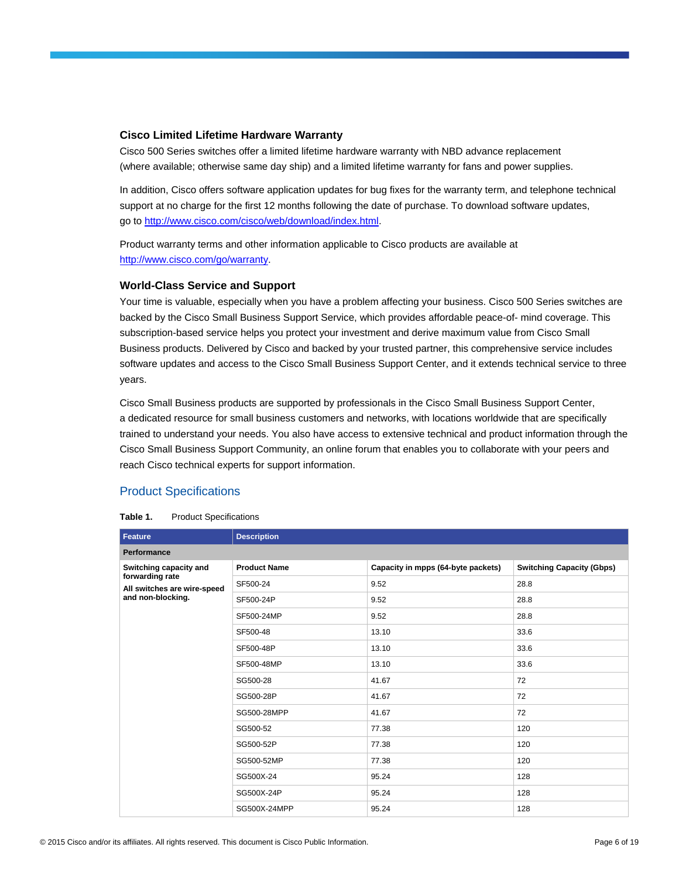#### **Cisco Limited Lifetime Hardware Warranty**

Cisco 500 Series switches offer a limited lifetime hardware warranty with NBD advance replacement (where available; otherwise same day ship) and a limited lifetime warranty for fans and power supplies.

In addition, Cisco offers software application updates for bug fixes for the warranty term, and telephone technical support at no charge for the first 12 months following the date of purchase. To download software updates, go t[o http://www.cisco.com/cisco/web/download/index.html.](http://www.cisco.com/cisco/web/download/index.html)

Product warranty terms and other information applicable to Cisco products are available at [http://www.cisco.com/go/warranty.](http://www.cisco.com/go/warranty)

#### **World-Class Service and Support**

Your time is valuable, especially when you have a problem affecting your business. Cisco 500 Series switches are backed by the Cisco Small Business Support Service, which provides affordable peace-of- mind coverage. This subscription-based service helps you protect your investment and derive maximum value from Cisco Small Business products. Delivered by Cisco and backed by your trusted partner, this comprehensive service includes software updates and access to the Cisco Small Business Support Center, and it extends technical service to three years.

Cisco Small Business products are supported by professionals in the Cisco Small Business Support Center, a dedicated resource for small business customers and networks, with locations worldwide that are specifically trained to understand your needs. You also have access to extensive technical and product information through the Cisco Small Business Support Community, an online forum that enables you to collaborate with your peers and reach Cisco technical experts for support information.

# Product Specifications

#### **Table 1.** Product Specifications

| Feature                                        | <b>Description</b>  |                                    |                                  |  |  |  |  |
|------------------------------------------------|---------------------|------------------------------------|----------------------------------|--|--|--|--|
| Performance                                    |                     |                                    |                                  |  |  |  |  |
| Switching capacity and                         | <b>Product Name</b> | Capacity in mpps (64-byte packets) | <b>Switching Capacity (Gbps)</b> |  |  |  |  |
| forwarding rate<br>All switches are wire-speed | SF500-24            | 9.52                               | 28.8                             |  |  |  |  |
| and non-blocking.                              | SF500-24P           | 9.52                               | 28.8                             |  |  |  |  |
|                                                | SF500-24MP          | 9.52                               | 28.8                             |  |  |  |  |
|                                                | SF500-48            | 13.10                              | 33.6                             |  |  |  |  |
|                                                | SF500-48P           | 13.10                              | 33.6                             |  |  |  |  |
|                                                | SF500-48MP          | 13.10                              | 33.6                             |  |  |  |  |
|                                                | SG500-28            | 41.67                              | 72                               |  |  |  |  |
|                                                | SG500-28P           | 41.67                              | 72                               |  |  |  |  |
|                                                | SG500-28MPP         | 41.67                              | 72                               |  |  |  |  |
|                                                | SG500-52            | 77.38                              | 120                              |  |  |  |  |
|                                                | SG500-52P           | 77.38                              | 120                              |  |  |  |  |
|                                                | SG500-52MP          | 77.38                              | 120                              |  |  |  |  |
|                                                | SG500X-24           | 95.24                              | 128                              |  |  |  |  |
|                                                | SG500X-24P          | 95.24                              | 128                              |  |  |  |  |
|                                                | SG500X-24MPP        | 95.24                              | 128                              |  |  |  |  |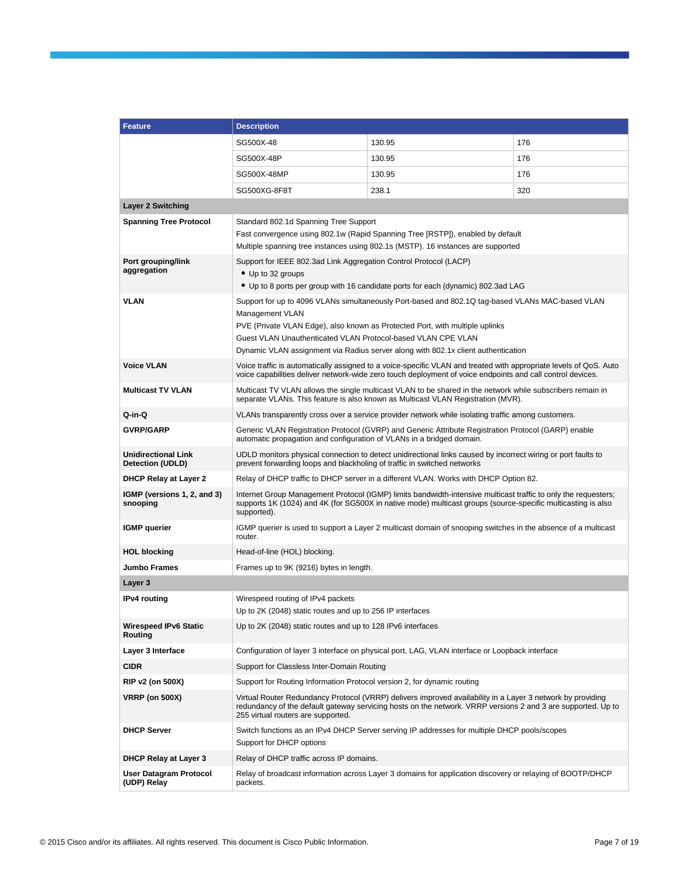| <b>Feature</b>                                 | <b>Description</b>                                                                                                                                                                                                                                                                                                                                       |                                                                                                                                                                    |     |  |  |
|------------------------------------------------|----------------------------------------------------------------------------------------------------------------------------------------------------------------------------------------------------------------------------------------------------------------------------------------------------------------------------------------------------------|--------------------------------------------------------------------------------------------------------------------------------------------------------------------|-----|--|--|
|                                                | SG500X-48                                                                                                                                                                                                                                                                                                                                                | 130.95                                                                                                                                                             | 176 |  |  |
|                                                | SG500X-48P                                                                                                                                                                                                                                                                                                                                               | 130.95                                                                                                                                                             | 176 |  |  |
|                                                | SG500X-48MP                                                                                                                                                                                                                                                                                                                                              | 130.95                                                                                                                                                             | 176 |  |  |
|                                                | SG500XG-8F8T                                                                                                                                                                                                                                                                                                                                             | 238.1                                                                                                                                                              | 320 |  |  |
| <b>Layer 2 Switching</b>                       |                                                                                                                                                                                                                                                                                                                                                          |                                                                                                                                                                    |     |  |  |
| <b>Spanning Tree Protocol</b>                  | Standard 802.1d Spanning Tree Support                                                                                                                                                                                                                                                                                                                    | Fast convergence using 802.1w (Rapid Spanning Tree [RSTP]), enabled by default<br>Multiple spanning tree instances using 802.1s (MSTP). 16 instances are supported |     |  |  |
| Port grouping/link<br>aggregation              | Support for IEEE 802.3ad Link Aggregation Control Protocol (LACP)<br>• Up to 32 groups                                                                                                                                                                                                                                                                   | • Up to 8 ports per group with 16 candidate ports for each (dynamic) 802.3ad LAG                                                                                   |     |  |  |
| <b>VLAN</b>                                    | Support for up to 4096 VLANs simultaneously Port-based and 802.1Q tag-based VLANs MAC-based VLAN<br>Management VLAN<br>PVE (Private VLAN Edge), also known as Protected Port, with multiple uplinks<br>Guest VLAN Unauthenticated VLAN Protocol-based VLAN CPE VLAN<br>Dynamic VLAN assignment via Radius server along with 802.1x client authentication |                                                                                                                                                                    |     |  |  |
| <b>Voice VLAN</b>                              | Voice traffic is automatically assigned to a voice-specific VLAN and treated with appropriate levels of QoS. Auto<br>voice capabilities deliver network-wide zero touch deployment of voice endpoints and call control devices.                                                                                                                          |                                                                                                                                                                    |     |  |  |
| <b>Multicast TV VLAN</b>                       | Multicast TV VLAN allows the single multicast VLAN to be shared in the network while subscribers remain in<br>separate VLANs. This feature is also known as Multicast VLAN Registration (MVR).                                                                                                                                                           |                                                                                                                                                                    |     |  |  |
| Q-in-Q                                         |                                                                                                                                                                                                                                                                                                                                                          | VLANs transparently cross over a service provider network while isolating traffic among customers.                                                                 |     |  |  |
| <b>GVRP/GARP</b>                               | Generic VLAN Registration Protocol (GVRP) and Generic Attribute Registration Protocol (GARP) enable<br>automatic propagation and configuration of VLANs in a bridged domain.                                                                                                                                                                             |                                                                                                                                                                    |     |  |  |
| <b>Unidirectional Link</b><br>Detection (UDLD) | UDLD monitors physical connection to detect unidirectional links caused by incorrect wiring or port faults to<br>prevent forwarding loops and blackholing of traffic in switched networks                                                                                                                                                                |                                                                                                                                                                    |     |  |  |
| <b>DHCP Relay at Layer 2</b>                   | Relay of DHCP traffic to DHCP server in a different VLAN. Works with DHCP Option 82.                                                                                                                                                                                                                                                                     |                                                                                                                                                                    |     |  |  |
| IGMP (versions 1, 2, and 3)<br>snooping        | Internet Group Management Protocol (IGMP) limits bandwidth-intensive multicast traffic to only the requesters;<br>supports 1K (1024) and 4K (for SG500X in native mode) multicast groups (source-specific multicasting is also<br>supported).                                                                                                            |                                                                                                                                                                    |     |  |  |
| <b>IGMP</b> querier                            | IGMP querier is used to support a Layer 2 multicast domain of snooping switches in the absence of a multicast<br>router.                                                                                                                                                                                                                                 |                                                                                                                                                                    |     |  |  |
| <b>HOL blocking</b>                            | Head-of-line (HOL) blocking.                                                                                                                                                                                                                                                                                                                             |                                                                                                                                                                    |     |  |  |
| <b>Jumbo Frames</b>                            | Frames up to 9K (9216) bytes in length.                                                                                                                                                                                                                                                                                                                  |                                                                                                                                                                    |     |  |  |
| Layer 3                                        |                                                                                                                                                                                                                                                                                                                                                          |                                                                                                                                                                    |     |  |  |
| <b>IPv4</b> routing                            | Wirespeed routing of IPv4 packets<br>Up to 2K (2048) static routes and up to 256 IP interfaces                                                                                                                                                                                                                                                           |                                                                                                                                                                    |     |  |  |
| <b>Wirespeed IPv6 Static</b><br>Routing        | Up to 2K (2048) static routes and up to 128 IPv6 interfaces                                                                                                                                                                                                                                                                                              |                                                                                                                                                                    |     |  |  |
| Layer 3 Interface                              |                                                                                                                                                                                                                                                                                                                                                          | Configuration of layer 3 interface on physical port, LAG, VLAN interface or Loopback interface                                                                     |     |  |  |
| <b>CIDR</b>                                    | Support for Classless Inter-Domain Routing                                                                                                                                                                                                                                                                                                               |                                                                                                                                                                    |     |  |  |
| RIP v2 (on 500X)                               | Support for Routing Information Protocol version 2, for dynamic routing                                                                                                                                                                                                                                                                                  |                                                                                                                                                                    |     |  |  |
| <b>VRRP (on 500X)</b>                          | Virtual Router Redundancy Protocol (VRRP) delivers improved availability in a Layer 3 network by providing<br>redundancy of the default gateway servicing hosts on the network. VRRP versions 2 and 3 are supported. Up to<br>255 virtual routers are supported.                                                                                         |                                                                                                                                                                    |     |  |  |
| <b>DHCP Server</b>                             | Support for DHCP options                                                                                                                                                                                                                                                                                                                                 | Switch functions as an IPv4 DHCP Server serving IP addresses for multiple DHCP pools/scopes                                                                        |     |  |  |
| <b>DHCP Relay at Layer 3</b>                   | Relay of DHCP traffic across IP domains.                                                                                                                                                                                                                                                                                                                 |                                                                                                                                                                    |     |  |  |
| <b>User Datagram Protocol</b><br>(UDP) Relay   | packets.                                                                                                                                                                                                                                                                                                                                                 | Relay of broadcast information across Layer 3 domains for application discovery or relaying of BOOTP/DHCP                                                          |     |  |  |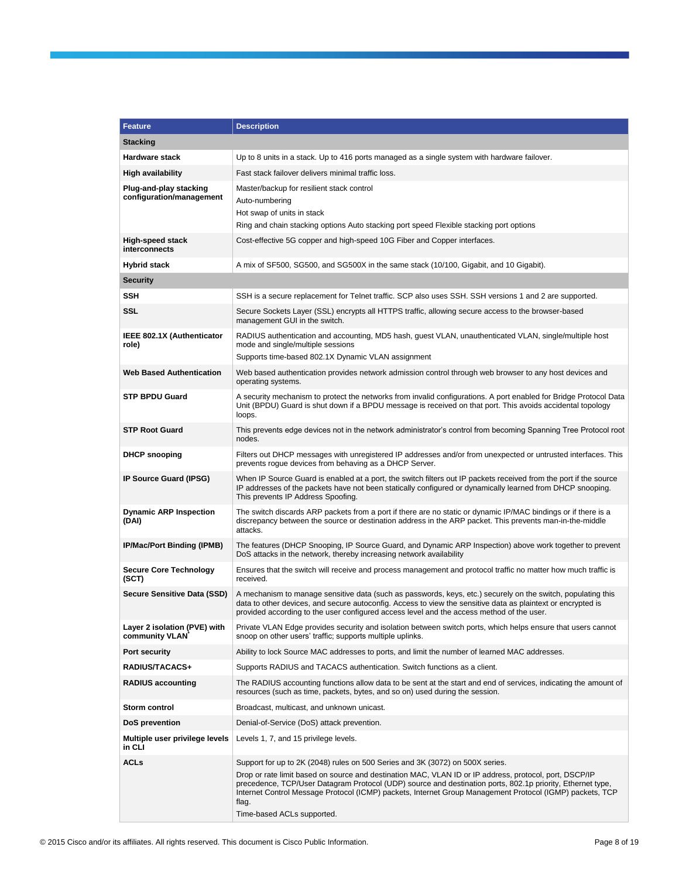| <b>Feature</b>                                     | <b>Description</b>                                                                                                                                                                                                                                                                                                                                                      |
|----------------------------------------------------|-------------------------------------------------------------------------------------------------------------------------------------------------------------------------------------------------------------------------------------------------------------------------------------------------------------------------------------------------------------------------|
| <b>Stacking</b>                                    |                                                                                                                                                                                                                                                                                                                                                                         |
| <b>Hardware stack</b>                              | Up to 8 units in a stack. Up to 416 ports managed as a single system with hardware failover.                                                                                                                                                                                                                                                                            |
| <b>High availability</b>                           | Fast stack failover delivers minimal traffic loss.                                                                                                                                                                                                                                                                                                                      |
| Plug-and-play stacking<br>configuration/management | Master/backup for resilient stack control<br>Auto-numbering<br>Hot swap of units in stack                                                                                                                                                                                                                                                                               |
|                                                    | Ring and chain stacking options Auto stacking port speed Flexible stacking port options                                                                                                                                                                                                                                                                                 |
| <b>High-speed stack</b><br>interconnects           | Cost-effective 5G copper and high-speed 10G Fiber and Copper interfaces.                                                                                                                                                                                                                                                                                                |
| <b>Hybrid stack</b>                                | A mix of SF500, SG500, and SG500X in the same stack (10/100, Gigabit, and 10 Gigabit).                                                                                                                                                                                                                                                                                  |
| <b>Security</b>                                    |                                                                                                                                                                                                                                                                                                                                                                         |
| <b>SSH</b>                                         | SSH is a secure replacement for Telnet traffic. SCP also uses SSH. SSH versions 1 and 2 are supported.                                                                                                                                                                                                                                                                  |
| SSL                                                | Secure Sockets Layer (SSL) encrypts all HTTPS traffic, allowing secure access to the browser-based<br>management GUI in the switch.                                                                                                                                                                                                                                     |
| IEEE 802.1X (Authenticator<br>role)                | RADIUS authentication and accounting, MD5 hash, guest VLAN, unauthenticated VLAN, single/multiple host<br>mode and single/multiple sessions<br>Supports time-based 802.1X Dynamic VLAN assignment                                                                                                                                                                       |
| <b>Web Based Authentication</b>                    | Web based authentication provides network admission control through web browser to any host devices and<br>operating systems.                                                                                                                                                                                                                                           |
| <b>STP BPDU Guard</b>                              | A security mechanism to protect the networks from invalid configurations. A port enabled for Bridge Protocol Data<br>Unit (BPDU) Guard is shut down if a BPDU message is received on that port. This avoids accidental topology<br>loops.                                                                                                                               |
| <b>STP Root Guard</b>                              | This prevents edge devices not in the network administrator's control from becoming Spanning Tree Protocol root<br>nodes.                                                                                                                                                                                                                                               |
| <b>DHCP snooping</b>                               | Filters out DHCP messages with unregistered IP addresses and/or from unexpected or untrusted interfaces. This<br>prevents rogue devices from behaving as a DHCP Server.                                                                                                                                                                                                 |
| IP Source Guard (IPSG)                             | When IP Source Guard is enabled at a port, the switch filters out IP packets received from the port if the source<br>IP addresses of the packets have not been statically configured or dynamically learned from DHCP snooping.<br>This prevents IP Address Spoofing.                                                                                                   |
| <b>Dynamic ARP Inspection</b><br>(DAI)             | The switch discards ARP packets from a port if there are no static or dynamic IP/MAC bindings or if there is a<br>discrepancy between the source or destination address in the ARP packet. This prevents man-in-the-middle<br>attacks.                                                                                                                                  |
| IP/Mac/Port Binding (IPMB)                         | The features (DHCP Snooping, IP Source Guard, and Dynamic ARP Inspection) above work together to prevent<br>DoS attacks in the network, thereby increasing network availability                                                                                                                                                                                         |
| <b>Secure Core Technology</b><br>(SCT)             | Ensures that the switch will receive and process management and protocol traffic no matter how much traffic is<br>received.                                                                                                                                                                                                                                             |
| Secure Sensitive Data (SSD)                        | A mechanism to manage sensitive data (such as passwords, keys, etc.) securely on the switch, populating this<br>data to other devices, and secure autoconfig. Access to view the sensitive data as plaintext or encrypted is<br>provided according to the user configured access level and the access method of the user.                                               |
| Layer 2 isolation (PVE) with<br>community VLAN     | Private VLAN Edge provides security and isolation between switch ports, which helps ensure that users cannot<br>snoop on other users' traffic; supports multiple uplinks.                                                                                                                                                                                               |
| Port security                                      | Ability to lock Source MAC addresses to ports, and limit the number of learned MAC addresses.                                                                                                                                                                                                                                                                           |
| RADIUS/TACACS+                                     | Supports RADIUS and TACACS authentication. Switch functions as a client.                                                                                                                                                                                                                                                                                                |
| <b>RADIUS accounting</b>                           | The RADIUS accounting functions allow data to be sent at the start and end of services, indicating the amount of<br>resources (such as time, packets, bytes, and so on) used during the session.                                                                                                                                                                        |
| Storm control                                      | Broadcast, multicast, and unknown unicast.                                                                                                                                                                                                                                                                                                                              |
| DoS prevention                                     | Denial-of-Service (DoS) attack prevention.                                                                                                                                                                                                                                                                                                                              |
| Multiple user privilege levels<br>in CLI           | Levels 1, 7, and 15 privilege levels.                                                                                                                                                                                                                                                                                                                                   |
| <b>ACLs</b>                                        | Support for up to 2K (2048) rules on 500 Series and 3K (3072) on 500X series.                                                                                                                                                                                                                                                                                           |
|                                                    | Drop or rate limit based on source and destination MAC, VLAN ID or IP address, protocol, port, DSCP/IP<br>precedence, TCP/User Datagram Protocol (UDP) source and destination ports, 802.1p priority, Ethernet type,<br>Internet Control Message Protocol (ICMP) packets, Internet Group Management Protocol (IGMP) packets, TCP<br>flag.<br>Time-based ACLs supported. |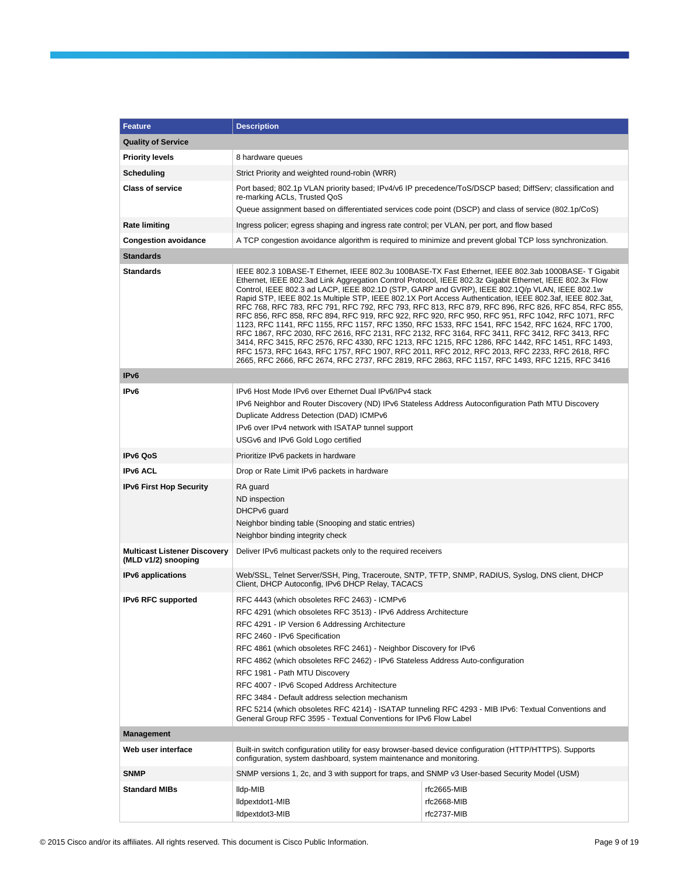| <b>Feature</b>                                             | <b>Description</b>                                                                                                                                                                                                                                                                                                                                                                                                                                                                                                                                                                                                                                                                                                                                                                                                                                                                                                                                                                                                                                                                                                                               |                                                                                                           |  |  |  |
|------------------------------------------------------------|--------------------------------------------------------------------------------------------------------------------------------------------------------------------------------------------------------------------------------------------------------------------------------------------------------------------------------------------------------------------------------------------------------------------------------------------------------------------------------------------------------------------------------------------------------------------------------------------------------------------------------------------------------------------------------------------------------------------------------------------------------------------------------------------------------------------------------------------------------------------------------------------------------------------------------------------------------------------------------------------------------------------------------------------------------------------------------------------------------------------------------------------------|-----------------------------------------------------------------------------------------------------------|--|--|--|
| <b>Quality of Service</b>                                  |                                                                                                                                                                                                                                                                                                                                                                                                                                                                                                                                                                                                                                                                                                                                                                                                                                                                                                                                                                                                                                                                                                                                                  |                                                                                                           |  |  |  |
| <b>Priority levels</b>                                     | 8 hardware queues                                                                                                                                                                                                                                                                                                                                                                                                                                                                                                                                                                                                                                                                                                                                                                                                                                                                                                                                                                                                                                                                                                                                |                                                                                                           |  |  |  |
| Scheduling                                                 | Strict Priority and weighted round-robin (WRR)                                                                                                                                                                                                                                                                                                                                                                                                                                                                                                                                                                                                                                                                                                                                                                                                                                                                                                                                                                                                                                                                                                   |                                                                                                           |  |  |  |
| <b>Class of service</b>                                    | Port based; 802.1p VLAN priority based; IPv4/v6 IP precedence/ToS/DSCP based; DiffServ; classification and<br>re-marking ACLs, Trusted QoS                                                                                                                                                                                                                                                                                                                                                                                                                                                                                                                                                                                                                                                                                                                                                                                                                                                                                                                                                                                                       |                                                                                                           |  |  |  |
|                                                            | Queue assignment based on differentiated services code point (DSCP) and class of service (802.1p/CoS)                                                                                                                                                                                                                                                                                                                                                                                                                                                                                                                                                                                                                                                                                                                                                                                                                                                                                                                                                                                                                                            |                                                                                                           |  |  |  |
| <b>Rate limiting</b>                                       | Ingress policer; egress shaping and ingress rate control; per VLAN, per port, and flow based                                                                                                                                                                                                                                                                                                                                                                                                                                                                                                                                                                                                                                                                                                                                                                                                                                                                                                                                                                                                                                                     |                                                                                                           |  |  |  |
| <b>Congestion avoidance</b>                                |                                                                                                                                                                                                                                                                                                                                                                                                                                                                                                                                                                                                                                                                                                                                                                                                                                                                                                                                                                                                                                                                                                                                                  | A TCP congestion avoidance algorithm is required to minimize and prevent global TCP loss synchronization. |  |  |  |
| <b>Standards</b>                                           |                                                                                                                                                                                                                                                                                                                                                                                                                                                                                                                                                                                                                                                                                                                                                                                                                                                                                                                                                                                                                                                                                                                                                  |                                                                                                           |  |  |  |
| <b>Standards</b>                                           | IEEE 802.3 10BASE-T Ethernet, IEEE 802.3u 100BASE-TX Fast Ethernet, IEEE 802.3ab 1000BASE-T Gigabit<br>Ethernet, IEEE 802.3ad Link Aggregation Control Protocol, IEEE 802.3z Gigabit Ethernet, IEEE 802.3x Flow<br>Control, IEEE 802.3 ad LACP, IEEE 802.1D (STP, GARP and GVRP), IEEE 802.1Q/p VLAN, IEEE 802.1w<br>Rapid STP, IEEE 802.1s Multiple STP, IEEE 802.1X Port Access Authentication, IEEE 802.3af, IEEE 802.3at,<br>RFC 768, RFC 783, RFC 791, RFC 792, RFC 793, RFC 813, RFC 879, RFC 896, RFC 826, RFC 854, RFC 855,<br>RFC 856, RFC 858, RFC 894, RFC 919, RFC 922, RFC 920, RFC 950, RFC 951, RFC 1042, RFC 1071, RFC<br>1123, RFC 1141, RFC 1155, RFC 1157, RFC 1350, RFC 1533, RFC 1541, RFC 1542, RFC 1624, RFC 1700,<br>RFC 1867, RFC 2030, RFC 2616, RFC 2131, RFC 2132, RFC 3164, RFC 3411, RFC 3412, RFC 3413, RFC<br>3414, RFC 3415, RFC 2576, RFC 4330, RFC 1213, RFC 1215, RFC 1286, RFC 1442, RFC 1451, RFC 1493,<br>RFC 1573, RFC 1643, RFC 1757, RFC 1907, RFC 2011, RFC 2012, RFC 2013, RFC 2233, RFC 2618, RFC<br>2665, RFC 2666, RFC 2674, RFC 2737, RFC 2819, RFC 2863, RFC 1157, RFC 1493, RFC 1215, RFC 3416 |                                                                                                           |  |  |  |
| IP <sub>v6</sub>                                           |                                                                                                                                                                                                                                                                                                                                                                                                                                                                                                                                                                                                                                                                                                                                                                                                                                                                                                                                                                                                                                                                                                                                                  |                                                                                                           |  |  |  |
| IP <sub>v6</sub>                                           | IPv6 Host Mode IPv6 over Ethernet Dual IPv6/IPv4 stack<br>IPv6 Neighbor and Router Discovery (ND) IPv6 Stateless Address Autoconfiguration Path MTU Discovery<br>Duplicate Address Detection (DAD) ICMPv6<br>IPv6 over IPv4 network with ISATAP tunnel support<br>USGv6 and IPv6 Gold Logo certified                                                                                                                                                                                                                                                                                                                                                                                                                                                                                                                                                                                                                                                                                                                                                                                                                                             |                                                                                                           |  |  |  |
| <b>IPv6 QoS</b>                                            | Prioritize IPv6 packets in hardware                                                                                                                                                                                                                                                                                                                                                                                                                                                                                                                                                                                                                                                                                                                                                                                                                                                                                                                                                                                                                                                                                                              |                                                                                                           |  |  |  |
| <b>IPv6 ACL</b>                                            | Drop or Rate Limit IPv6 packets in hardware                                                                                                                                                                                                                                                                                                                                                                                                                                                                                                                                                                                                                                                                                                                                                                                                                                                                                                                                                                                                                                                                                                      |                                                                                                           |  |  |  |
| <b>IPv6 First Hop Security</b>                             | RA guard<br>ND inspection<br>DHCPv6 guard<br>Neighbor binding table (Snooping and static entries)<br>Neighbor binding integrity check                                                                                                                                                                                                                                                                                                                                                                                                                                                                                                                                                                                                                                                                                                                                                                                                                                                                                                                                                                                                            |                                                                                                           |  |  |  |
| <b>Multicast Listener Discovery</b><br>(MLD v1/2) snooping | Deliver IPv6 multicast packets only to the required receivers                                                                                                                                                                                                                                                                                                                                                                                                                                                                                                                                                                                                                                                                                                                                                                                                                                                                                                                                                                                                                                                                                    |                                                                                                           |  |  |  |
| <b>IPv6</b> applications                                   | Web/SSL, Telnet Server/SSH, Ping, Traceroute, SNTP, TFTP, SNMP, RADIUS, Syslog, DNS client, DHCP<br>Client, DHCP Autoconfig, IPv6 DHCP Relay, TACACS                                                                                                                                                                                                                                                                                                                                                                                                                                                                                                                                                                                                                                                                                                                                                                                                                                                                                                                                                                                             |                                                                                                           |  |  |  |
| <b>IPv6 RFC supported</b>                                  | RFC 4443 (which obsoletes RFC 2463) - ICMPv6<br>RFC 4291 (which obsoletes RFC 3513) - IPv6 Address Architecture<br>RFC 4291 - IP Version 6 Addressing Architecture<br>RFC 2460 - IPv6 Specification<br>RFC 4861 (which obsoletes RFC 2461) - Neighbor Discovery for IPv6<br>RFC 4862 (which obsoletes RFC 2462) - IPv6 Stateless Address Auto-configuration<br>RFC 1981 - Path MTU Discovery<br>RFC 4007 - IPv6 Scoped Address Architecture<br>RFC 3484 - Default address selection mechanism<br>RFC 5214 (which obsoletes RFC 4214) - ISATAP tunneling RFC 4293 - MIB IPv6: Textual Conventions and<br>General Group RFC 3595 - Textual Conventions for IPv6 Flow Label                                                                                                                                                                                                                                                                                                                                                                                                                                                                         |                                                                                                           |  |  |  |
| <b>Management</b>                                          |                                                                                                                                                                                                                                                                                                                                                                                                                                                                                                                                                                                                                                                                                                                                                                                                                                                                                                                                                                                                                                                                                                                                                  |                                                                                                           |  |  |  |
| Web user interface                                         | Built-in switch configuration utility for easy browser-based device configuration (HTTP/HTTPS). Supports<br>configuration, system dashboard, system maintenance and monitoring.                                                                                                                                                                                                                                                                                                                                                                                                                                                                                                                                                                                                                                                                                                                                                                                                                                                                                                                                                                  |                                                                                                           |  |  |  |
| <b>SNMP</b>                                                | SNMP versions 1, 2c, and 3 with support for traps, and SNMP v3 User-based Security Model (USM)                                                                                                                                                                                                                                                                                                                                                                                                                                                                                                                                                                                                                                                                                                                                                                                                                                                                                                                                                                                                                                                   |                                                                                                           |  |  |  |
| <b>Standard MIBs</b>                                       | lldp-MIB<br>lldpextdot1-MIB<br>Ildpextdot3-MIB                                                                                                                                                                                                                                                                                                                                                                                                                                                                                                                                                                                                                                                                                                                                                                                                                                                                                                                                                                                                                                                                                                   | rfc2665-MIB<br>rfc2668-MIB<br>rfc2737-MIB                                                                 |  |  |  |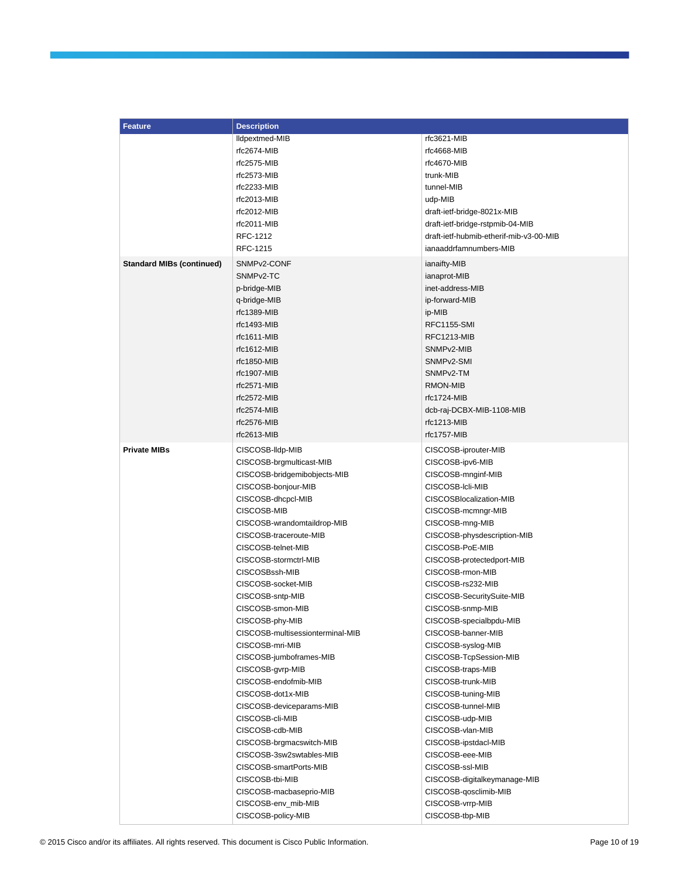| <b>Feature</b>                   | <b>Description</b>               |                                         |  |  |
|----------------------------------|----------------------------------|-----------------------------------------|--|--|
|                                  | Ildpextmed-MIB                   | rfc3621-MIB                             |  |  |
|                                  | rfc2674-MIB                      | rfc4668-MIB                             |  |  |
|                                  | rfc2575-MIB                      | rfc4670-MIB                             |  |  |
|                                  | rfc2573-MIB                      | trunk-MIB                               |  |  |
|                                  | rfc2233-MIB                      | tunnel-MIB                              |  |  |
|                                  | rfc2013-MIB                      | udp-MIB                                 |  |  |
|                                  | rfc2012-MIB                      | draft-ietf-bridge-8021x-MIB             |  |  |
|                                  | rfc2011-MIB                      |                                         |  |  |
|                                  | RFC-1212                         | draft-ietf-bridge-rstpmib-04-MIB        |  |  |
|                                  | RFC-1215                         | draft-ietf-hubmib-etherif-mib-v3-00-MIB |  |  |
|                                  |                                  | ianaaddrfamnumbers-MIB                  |  |  |
| <b>Standard MIBs (continued)</b> | SNMP <sub>v2</sub> -CONF         | ianaifty-MIB                            |  |  |
|                                  | SNMP <sub>v2</sub> -TC           | ianaprot-MIB                            |  |  |
|                                  | p-bridge-MIB                     | inet-address-MIB                        |  |  |
|                                  | q-bridge-MIB                     | ip-forward-MIB                          |  |  |
|                                  | $rfc1389-MIB$                    | ip-MIB                                  |  |  |
|                                  | rfc1493-MIB                      | <b>RFC1155-SMI</b>                      |  |  |
|                                  | $rfc1611-MIB$                    | RFC1213-MIB                             |  |  |
|                                  | rfc1612-MIB                      | SNMP <sub>v2</sub> -MIB                 |  |  |
|                                  | rfc1850-MIB                      | SNMPv2-SMI                              |  |  |
|                                  | rfc1907-MIB                      | SNMP <sub>v2</sub> -TM                  |  |  |
|                                  | rfc2571-MIB                      | <b>RMON-MIB</b>                         |  |  |
|                                  | rfc2572-MIB                      | rfc1724-MIB                             |  |  |
|                                  | rfc2574-MIB                      | dcb-raj-DCBX-MIB-1108-MIB               |  |  |
|                                  | rfc2576-MIB                      | rfc1213-MIB                             |  |  |
|                                  | $rfc2613-MIB$                    | rfc1757-MIB                             |  |  |
| <b>Private MIBs</b>              | CISCOSB-Ildp-MIB                 | CISCOSB-iprouter-MIB                    |  |  |
|                                  |                                  |                                         |  |  |
|                                  | CISCOSB-brgmulticast-MIB         | CISCOSB-ipv6-MIB                        |  |  |
|                                  | CISCOSB-bridgemibobjects-MIB     | CISCOSB-mnginf-MIB                      |  |  |
|                                  | CISCOSB-bonjour-MIB              | CISCOSB-Icli-MIB                        |  |  |
|                                  | CISCOSB-dhcpcl-MIB               | CISCOSBlocalization-MIB                 |  |  |
|                                  | CISCOSB-MIB                      | CISCOSB-mcmngr-MIB                      |  |  |
|                                  | CISCOSB-wrandomtaildrop-MIB      | CISCOSB-mng-MIB                         |  |  |
|                                  | CISCOSB-traceroute-MIB           | CISCOSB-physdescription-MIB             |  |  |
|                                  | CISCOSB-telnet-MIB               | CISCOSB-PoE-MIB                         |  |  |
|                                  | CISCOSB-stormctrl-MIB            | CISCOSB-protectedport-MIB               |  |  |
|                                  | CISCOSBssh-MIB                   | CISCOSB-rmon-MIB                        |  |  |
|                                  | CISCOSB-socket-MIB               | CISCOSB-rs232-MIB                       |  |  |
|                                  | CISCOSB-sntp-MIB                 | CISCOSB-SecuritySuite-MIB               |  |  |
|                                  | CISCOSB-smon-MIB                 | CISCOSB-snmp-MIB                        |  |  |
|                                  | CISCOSB-phy-MIB                  | CISCOSB-specialbpdu-MIB                 |  |  |
|                                  | CISCOSB-multisessionterminal-MIB | CISCOSB-banner-MIB                      |  |  |
|                                  | CISCOSB-mri-MIB                  | CISCOSB-syslog-MIB                      |  |  |
|                                  | CISCOSB-jumboframes-MIB          | CISCOSB-TcpSession-MIB                  |  |  |
|                                  | CISCOSB-gvrp-MIB                 | CISCOSB-traps-MIB                       |  |  |
|                                  | CISCOSB-endofmib-MIB             | CISCOSB-trunk-MIB                       |  |  |
|                                  | CISCOSB-dot1x-MIB                | CISCOSB-tuning-MIB                      |  |  |
|                                  | CISCOSB-deviceparams-MIB         | CISCOSB-tunnel-MIB                      |  |  |
|                                  | CISCOSB-cli-MIB                  | CISCOSB-udp-MIB                         |  |  |
|                                  | CISCOSB-cdb-MIB                  | CISCOSB-vlan-MIB                        |  |  |
|                                  | CISCOSB-brgmacswitch-MIB         | CISCOSB-ipstdacl-MIB                    |  |  |
|                                  | CISCOSB-3sw2swtables-MIB         | CISCOSB-eee-MIB                         |  |  |
|                                  | CISCOSB-smartPorts-MIB           | CISCOSB-ssl-MIB                         |  |  |
|                                  | CISCOSB-tbi-MIB                  | CISCOSB-digitalkeymanage-MIB            |  |  |
|                                  | CISCOSB-macbaseprio-MIB          |                                         |  |  |
|                                  |                                  | CISCOSB-qosclimib-MIB                   |  |  |
|                                  | CISCOSB-env_mib-MIB              | CISCOSB-vrrp-MIB                        |  |  |
|                                  | CISCOSB-policy-MIB               | CISCOSB-tbp-MIB                         |  |  |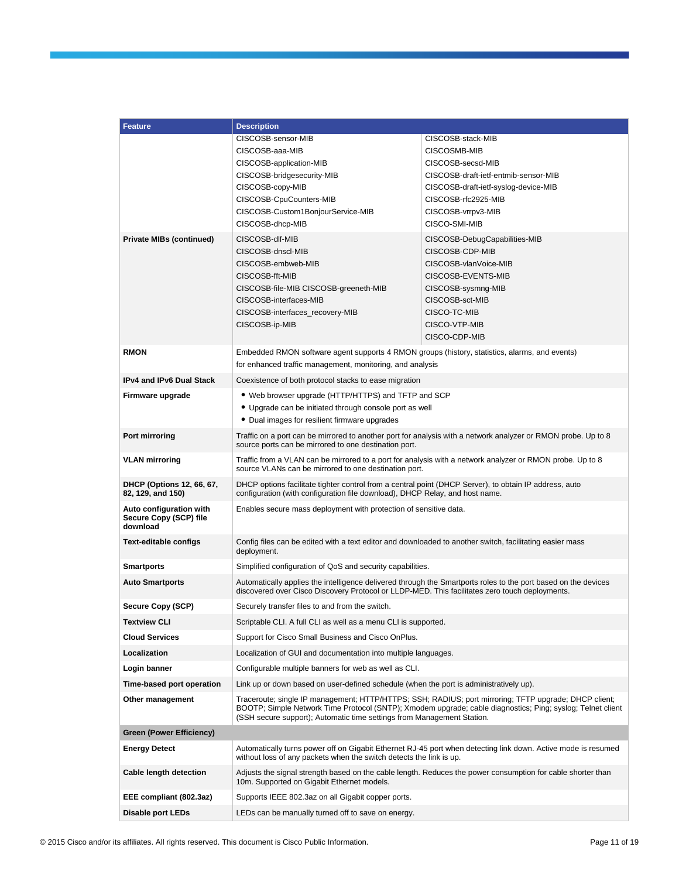| <b>Feature</b>                                                | <b>Description</b>                                                                                                                                                                                                                                                                            |                                                                                                                                                                                            |  |  |
|---------------------------------------------------------------|-----------------------------------------------------------------------------------------------------------------------------------------------------------------------------------------------------------------------------------------------------------------------------------------------|--------------------------------------------------------------------------------------------------------------------------------------------------------------------------------------------|--|--|
|                                                               | CISCOSB-sensor-MIB                                                                                                                                                                                                                                                                            | CISCOSB-stack-MIB                                                                                                                                                                          |  |  |
|                                                               | CISCOSB-aaa-MIB                                                                                                                                                                                                                                                                               | CISCOSMB-MIB                                                                                                                                                                               |  |  |
|                                                               | CISCOSB-application-MIB                                                                                                                                                                                                                                                                       | CISCOSB-secsd-MIB                                                                                                                                                                          |  |  |
|                                                               | CISCOSB-bridgesecurity-MIB                                                                                                                                                                                                                                                                    | CISCOSB-draft-ietf-entmib-sensor-MIB<br>CISCOSB-draft-ietf-syslog-device-MIB                                                                                                               |  |  |
|                                                               | CISCOSB-copy-MIB<br>CISCOSB-CpuCounters-MIB                                                                                                                                                                                                                                                   | CISCOSB-rfc2925-MIB                                                                                                                                                                        |  |  |
|                                                               | CISCOSB-Custom1BonjourService-MIB                                                                                                                                                                                                                                                             | CISCOSB-vrrpv3-MIB                                                                                                                                                                         |  |  |
|                                                               | CISCOSB-dhcp-MIB                                                                                                                                                                                                                                                                              | CISCO-SMI-MIB                                                                                                                                                                              |  |  |
| <b>Private MIBs (continued)</b>                               | CISCOSB-dlf-MIB<br>CISCOSB-dnscl-MIB<br>CISCOSB-embweb-MIB<br>CISCOSB-fft-MIB<br>CISCOSB-file-MIB CISCOSB-greeneth-MIB<br>CISCOSB-interfaces-MIB<br>CISCOSB-interfaces_recovery-MIB<br>CISCOSB-ip-MIB                                                                                         | CISCOSB-DebugCapabilities-MIB<br>CISCOSB-CDP-MIB<br>CISCOSB-vlanVoice-MIB<br>CISCOSB-EVENTS-MIB<br>CISCOSB-sysmng-MIB<br>CISCOSB-sct-MIB<br>CISCO-TC-MIB<br>CISCO-VTP-MIB<br>CISCO-CDP-MIB |  |  |
| <b>RMON</b>                                                   | Embedded RMON software agent supports 4 RMON groups (history, statistics, alarms, and events)<br>for enhanced traffic management, monitoring, and analysis                                                                                                                                    |                                                                                                                                                                                            |  |  |
| <b>IPv4 and IPv6 Dual Stack</b>                               | Coexistence of both protocol stacks to ease migration                                                                                                                                                                                                                                         |                                                                                                                                                                                            |  |  |
| Firmware upgrade                                              | • Web browser upgrade (HTTP/HTTPS) and TFTP and SCP<br>• Upgrade can be initiated through console port as well<br>• Dual images for resilient firmware upgrades                                                                                                                               |                                                                                                                                                                                            |  |  |
| Port mirroring                                                | Traffic on a port can be mirrored to another port for analysis with a network analyzer or RMON probe. Up to 8<br>source ports can be mirrored to one destination port.                                                                                                                        |                                                                                                                                                                                            |  |  |
| <b>VLAN mirroring</b>                                         | Traffic from a VLAN can be mirrored to a port for analysis with a network analyzer or RMON probe. Up to 8<br>source VLANs can be mirrored to one destination port.                                                                                                                            |                                                                                                                                                                                            |  |  |
| DHCP (Options 12, 66, 67,<br>82, 129, and 150)                | DHCP options facilitate tighter control from a central point (DHCP Server), to obtain IP address, auto<br>configuration (with configuration file download), DHCP Relay, and host name.                                                                                                        |                                                                                                                                                                                            |  |  |
| Auto configuration with<br>Secure Copy (SCP) file<br>download | Enables secure mass deployment with protection of sensitive data.                                                                                                                                                                                                                             |                                                                                                                                                                                            |  |  |
| <b>Text-editable configs</b>                                  | Config files can be edited with a text editor and downloaded to another switch, facilitating easier mass<br>deployment.                                                                                                                                                                       |                                                                                                                                                                                            |  |  |
| <b>Smartports</b>                                             | Simplified configuration of QoS and security capabilities.                                                                                                                                                                                                                                    |                                                                                                                                                                                            |  |  |
| <b>Auto Smartports</b>                                        | Automatically applies the intelligence delivered through the Smartports roles to the port based on the devices<br>discovered over Cisco Discovery Protocol or LLDP-MED. This facilitates zero touch deployments.                                                                              |                                                                                                                                                                                            |  |  |
| Secure Copy (SCP)                                             | Securely transfer files to and from the switch.                                                                                                                                                                                                                                               |                                                                                                                                                                                            |  |  |
| <b>Textview CLI</b>                                           | Scriptable CLI. A full CLI as well as a menu CLI is supported.                                                                                                                                                                                                                                |                                                                                                                                                                                            |  |  |
| <b>Cloud Services</b>                                         | Support for Cisco Small Business and Cisco OnPlus.                                                                                                                                                                                                                                            |                                                                                                                                                                                            |  |  |
| Localization                                                  | Localization of GUI and documentation into multiple languages.                                                                                                                                                                                                                                |                                                                                                                                                                                            |  |  |
| Login banner                                                  | Configurable multiple banners for web as well as CLI.                                                                                                                                                                                                                                         |                                                                                                                                                                                            |  |  |
| Time-based port operation                                     | Link up or down based on user-defined schedule (when the port is administratively up).                                                                                                                                                                                                        |                                                                                                                                                                                            |  |  |
| Other management                                              | Traceroute; single IP management; HTTP/HTTPS; SSH; RADIUS; port mirroring; TFTP upgrade; DHCP client;<br>BOOTP; Simple Network Time Protocol (SNTP); Xmodem upgrade; cable diagnostics; Ping; syslog; Telnet client<br>(SSH secure support); Automatic time settings from Management Station. |                                                                                                                                                                                            |  |  |
| <b>Green (Power Efficiency)</b>                               |                                                                                                                                                                                                                                                                                               |                                                                                                                                                                                            |  |  |
| <b>Energy Detect</b>                                          | without loss of any packets when the switch detects the link is up.                                                                                                                                                                                                                           | Automatically turns power off on Gigabit Ethernet RJ-45 port when detecting link down. Active mode is resumed                                                                              |  |  |
| Cable length detection                                        | 10m. Supported on Gigabit Ethernet models.                                                                                                                                                                                                                                                    | Adjusts the signal strength based on the cable length. Reduces the power consumption for cable shorter than                                                                                |  |  |
| EEE compliant (802.3az)                                       | Supports IEEE 802.3az on all Gigabit copper ports.                                                                                                                                                                                                                                            |                                                                                                                                                                                            |  |  |
| Disable port LEDs                                             | LEDs can be manually turned off to save on energy.                                                                                                                                                                                                                                            |                                                                                                                                                                                            |  |  |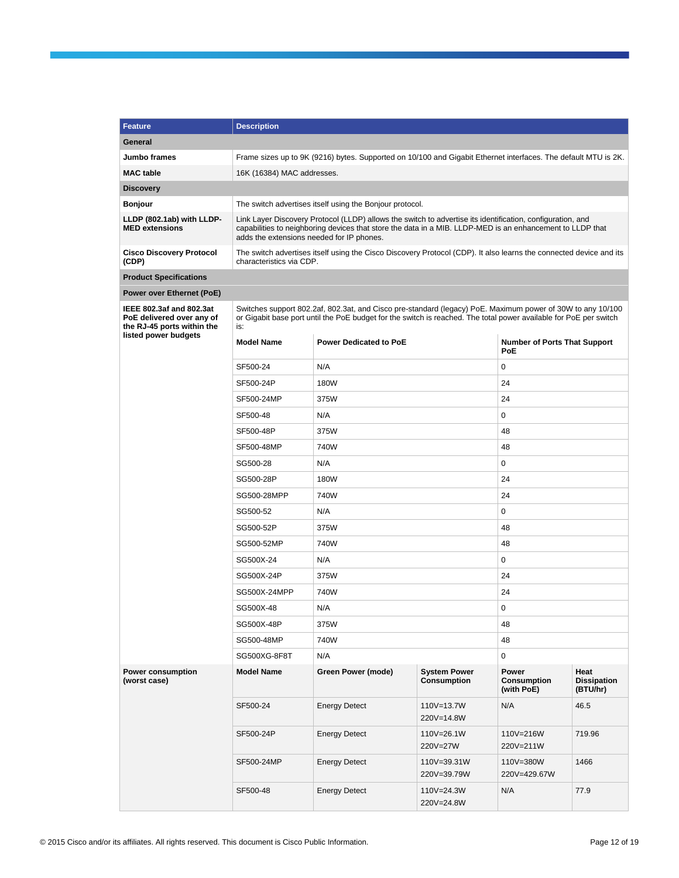| <b>Feature</b>                                                                                              | <b>Description</b>                                                                   |                                                                                                                                                                                                                                                                      |                            |                                            |                                        |  |  |  |
|-------------------------------------------------------------------------------------------------------------|--------------------------------------------------------------------------------------|----------------------------------------------------------------------------------------------------------------------------------------------------------------------------------------------------------------------------------------------------------------------|----------------------------|--------------------------------------------|----------------------------------------|--|--|--|
| General                                                                                                     |                                                                                      |                                                                                                                                                                                                                                                                      |                            |                                            |                                        |  |  |  |
| Jumbo frames                                                                                                |                                                                                      | Frame sizes up to 9K (9216) bytes. Supported on 10/100 and Gigabit Ethernet interfaces. The default MTU is 2K.                                                                                                                                                       |                            |                                            |                                        |  |  |  |
| <b>MAC</b> table                                                                                            | 16K (16384) MAC addresses.                                                           |                                                                                                                                                                                                                                                                      |                            |                                            |                                        |  |  |  |
| <b>Discovery</b>                                                                                            |                                                                                      |                                                                                                                                                                                                                                                                      |                            |                                            |                                        |  |  |  |
| <b>Bonjour</b>                                                                                              |                                                                                      | The switch advertises itself using the Bonjour protocol.                                                                                                                                                                                                             |                            |                                            |                                        |  |  |  |
| LLDP (802.1ab) with LLDP-<br><b>MED extensions</b>                                                          |                                                                                      | Link Layer Discovery Protocol (LLDP) allows the switch to advertise its identification, configuration, and<br>capabilities to neighboring devices that store the data in a MIB. LLDP-MED is an enhancement to LLDP that<br>adds the extensions needed for IP phones. |                            |                                            |                                        |  |  |  |
| <b>Cisco Discovery Protocol</b><br>(CDP)                                                                    |                                                                                      | The switch advertises itself using the Cisco Discovery Protocol (CDP). It also learns the connected device and its<br>characteristics via CDP.                                                                                                                       |                            |                                            |                                        |  |  |  |
| <b>Product Specifications</b>                                                                               |                                                                                      |                                                                                                                                                                                                                                                                      |                            |                                            |                                        |  |  |  |
| Power over Ethernet (PoE)                                                                                   |                                                                                      |                                                                                                                                                                                                                                                                      |                            |                                            |                                        |  |  |  |
| IEEE 802.3af and 802.3at<br>PoE delivered over any of<br>the RJ-45 ports within the<br>listed power budgets | is:                                                                                  | Switches support 802.2af, 802.3at, and Cisco pre-standard (legacy) PoE. Maximum power of 30W to any 10/100<br>or Gigabit base port until the PoE budget for the switch is reached. The total power available for PoE per switch                                      |                            |                                            |                                        |  |  |  |
|                                                                                                             | <b>Model Name</b>                                                                    | <b>Power Dedicated to PoE</b>                                                                                                                                                                                                                                        |                            | <b>Number of Ports That Support</b><br>PoE |                                        |  |  |  |
|                                                                                                             | SF500-24                                                                             | N/A                                                                                                                                                                                                                                                                  |                            | 0                                          |                                        |  |  |  |
|                                                                                                             | SF500-24P                                                                            | 180W                                                                                                                                                                                                                                                                 |                            | 24                                         |                                        |  |  |  |
|                                                                                                             | SF500-24MP                                                                           | 375W                                                                                                                                                                                                                                                                 | 24                         |                                            |                                        |  |  |  |
|                                                                                                             | SF500-48                                                                             | N/A                                                                                                                                                                                                                                                                  | 0                          |                                            |                                        |  |  |  |
|                                                                                                             | SF500-48P                                                                            | 375W                                                                                                                                                                                                                                                                 | 48                         |                                            |                                        |  |  |  |
|                                                                                                             | SF500-48MP                                                                           | 740W                                                                                                                                                                                                                                                                 | 48                         |                                            |                                        |  |  |  |
|                                                                                                             | SG500-28                                                                             | N/A                                                                                                                                                                                                                                                                  | 0                          |                                            |                                        |  |  |  |
|                                                                                                             | SG500-28P                                                                            | 180W                                                                                                                                                                                                                                                                 | 24                         |                                            |                                        |  |  |  |
|                                                                                                             | SG500-28MPP                                                                          | 740W                                                                                                                                                                                                                                                                 | 24                         |                                            |                                        |  |  |  |
|                                                                                                             | SG500-52                                                                             | N/A                                                                                                                                                                                                                                                                  |                            | 0                                          |                                        |  |  |  |
|                                                                                                             | SG500-52P                                                                            | 375W                                                                                                                                                                                                                                                                 | 48                         |                                            |                                        |  |  |  |
|                                                                                                             | SG500-52MP                                                                           | 740W                                                                                                                                                                                                                                                                 |                            | 48                                         |                                        |  |  |  |
|                                                                                                             | SG500X-24                                                                            | N/A                                                                                                                                                                                                                                                                  |                            | 0                                          |                                        |  |  |  |
|                                                                                                             | SG500X-24P                                                                           | 375W                                                                                                                                                                                                                                                                 |                            | 24                                         |                                        |  |  |  |
|                                                                                                             | SG500X-24MPP                                                                         | 740W                                                                                                                                                                                                                                                                 |                            | 24                                         |                                        |  |  |  |
|                                                                                                             | SG500X-48                                                                            | N/A                                                                                                                                                                                                                                                                  |                            | 0                                          |                                        |  |  |  |
|                                                                                                             | SG500X-48P                                                                           | 375W                                                                                                                                                                                                                                                                 |                            | 48                                         |                                        |  |  |  |
|                                                                                                             | SG500-48MP                                                                           | 740W                                                                                                                                                                                                                                                                 |                            | 48                                         |                                        |  |  |  |
|                                                                                                             | SG500XG-8F8T                                                                         | N/A                                                                                                                                                                                                                                                                  |                            | 0                                          |                                        |  |  |  |
| <b>Power consumption</b><br>(worst case)                                                                    | <b>System Power</b><br><b>Model Name</b><br>Green Power (mode)<br><b>Consumption</b> |                                                                                                                                                                                                                                                                      |                            |                                            | Heat<br><b>Dissipation</b><br>(BTU/hr) |  |  |  |
|                                                                                                             | SF500-24                                                                             | <b>Energy Detect</b>                                                                                                                                                                                                                                                 | 110V=13.7W<br>220V=14.8W   | N/A                                        | 46.5                                   |  |  |  |
|                                                                                                             | SF500-24P                                                                            | <b>Energy Detect</b>                                                                                                                                                                                                                                                 | 110V=26.1W<br>220V=27W     | 110V=216W<br>220V=211W                     | 719.96                                 |  |  |  |
|                                                                                                             | SF500-24MP                                                                           | <b>Energy Detect</b>                                                                                                                                                                                                                                                 | 110V=39.31W<br>220V=39.79W | 110V=380W<br>220V=429.67W                  | 1466                                   |  |  |  |
|                                                                                                             | SF500-48                                                                             | <b>Energy Detect</b>                                                                                                                                                                                                                                                 | 110V=24.3W<br>220V=24.8W   | N/A                                        | 77.9                                   |  |  |  |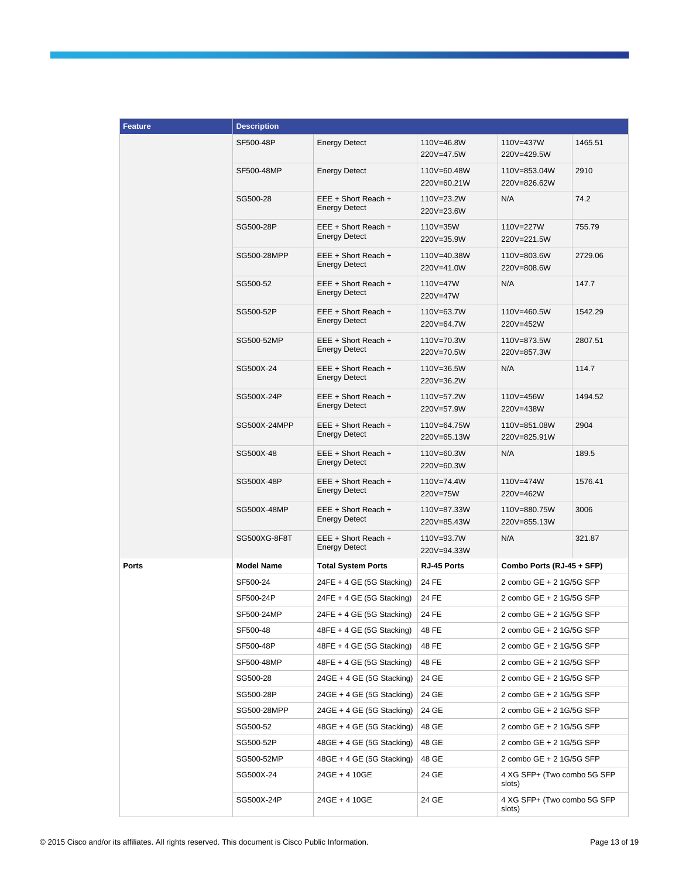| <b>Feature</b> | <b>Description</b> |                                             |                            |                                       |         |
|----------------|--------------------|---------------------------------------------|----------------------------|---------------------------------------|---------|
|                | SF500-48P          | <b>Energy Detect</b>                        | 110V=46.8W<br>220V=47.5W   | 110V=437W<br>220V=429.5W              | 1465.51 |
|                | SF500-48MP         | <b>Energy Detect</b>                        | 110V=60.48W<br>220V=60.21W | 110V=853.04W<br>220V=826.62W          | 2910    |
|                | SG500-28           | EEE + Short Reach +<br><b>Energy Detect</b> | 110V=23.2W<br>220V=23.6W   | N/A                                   | 74.2    |
|                | SG500-28P          | EEE + Short Reach +<br><b>Energy Detect</b> | 110V=35W<br>220V=35.9W     | 110V=227W<br>220V=221.5W              | 755.79  |
|                | SG500-28MPP        | EEE + Short Reach +<br><b>Energy Detect</b> | 110V=40.38W<br>220V=41.0W  | 110V=803.6W<br>220V=808.6W            | 2729.06 |
|                | SG500-52           | EEE + Short Reach +<br><b>Energy Detect</b> | 110V=47W<br>220V=47W       | N/A                                   | 147.7   |
|                | SG500-52P          | EEE + Short Reach +<br><b>Energy Detect</b> | 110V=63.7W<br>220V=64.7W   | 110V=460.5W<br>220V=452W              | 1542.29 |
|                | SG500-52MP         | EEE + Short Reach +<br><b>Energy Detect</b> | 110V=70.3W<br>220V=70.5W   | 110V=873.5W<br>220V=857.3W            | 2807.51 |
|                | SG500X-24          | EEE + Short Reach +<br><b>Energy Detect</b> | 110V=36.5W<br>220V=36.2W   | N/A                                   | 114.7   |
|                | SG500X-24P         | EEE + Short Reach +<br><b>Energy Detect</b> | 110V=57.2W<br>220V=57.9W   | 110V=456W<br>220V=438W                | 1494.52 |
|                | SG500X-24MPP       | EEE + Short Reach +<br><b>Energy Detect</b> | 110V=64.75W<br>220V=65.13W | 110V=851.08W<br>220V=825.91W          | 2904    |
|                | SG500X-48          | EEE + Short Reach +<br><b>Energy Detect</b> | 110V=60.3W<br>220V=60.3W   | N/A                                   | 189.5   |
|                | SG500X-48P         | EEE + Short Reach +<br><b>Energy Detect</b> | 110V=74.4W<br>220V=75W     | 110V=474W<br>220V=462W                | 1576.41 |
|                | SG500X-48MP        | EEE + Short Reach +<br><b>Energy Detect</b> | 110V=87.33W<br>220V=85.43W | 110V=880.75W<br>220V=855.13W          | 3006    |
|                | SG500XG-8F8T       | EEE + Short Reach +<br><b>Energy Detect</b> | 110V=93.7W<br>220V=94.33W  | N/A                                   | 321.87  |
| <b>Ports</b>   | <b>Model Name</b>  | <b>Total System Ports</b>                   | RJ-45 Ports                | Combo Ports (RJ-45 + SFP)             |         |
|                | SF500-24           | 24FE + 4 GE (5G Stacking)                   | 24 FE                      | 2 combo GE + 2 1G/5G SFP              |         |
|                | SF500-24P          | 24FE + 4 GE (5G Stacking)                   | 24 FE                      | 2 combo GE + 2 1G/5G SFP              |         |
|                | SF500-24MP         | 24FE + 4 GE (5G Stacking)                   | 24 FE                      | 2 combo GE + 2 1G/5G SFP              |         |
|                | SF500-48           | 48FE + 4 GE (5G Stacking)                   | 48 FE                      | 2 combo GE + 2 1G/5G SFP              |         |
|                | SF500-48P          | 48FE + 4 GE (5G Stacking)                   | 48 FE                      | 2 combo GE + 2 1G/5G SFP              |         |
|                | SF500-48MP         | 48FE + 4 GE (5G Stacking)                   | 48 FE                      | 2 combo GE + 2 1G/5G SFP              |         |
|                | SG500-28           | $24GE + 4 GE$ (5G Stacking)                 | 24 GE                      | 2 combo GE + 2 1G/5G SFP              |         |
|                | SG500-28P          | 24GE + 4 GE (5G Stacking)                   | 24 GE                      | 2 combo GE + 2 1G/5G SFP              |         |
|                | SG500-28MPP        | $24GE + 4 GE$ (5G Stacking)                 | 24 GE                      | 2 combo GE + 2 1G/5G SFP              |         |
|                | SG500-52           | 48GE + 4 GE (5G Stacking)                   | 48 GE                      | 2 combo GE + 2 1G/5G SFP              |         |
|                | SG500-52P          | 48GE + 4 GE (5G Stacking)                   | 48 GE                      | 2 combo GE + 2 1G/5G SFP              |         |
|                | SG500-52MP         | $48GE + 4 GE$ (5G Stacking)                 | 48 GE                      | 2 combo GE + 2 1G/5G SFP              |         |
|                | SG500X-24          | 24GE + 4 10GE                               | 24 GE                      | 4 XG SFP+ (Two combo 5G SFP<br>slots) |         |
|                | SG500X-24P         | 24GE + 4 10GE                               | 24 GE                      | 4 XG SFP+ (Two combo 5G SFP<br>slots) |         |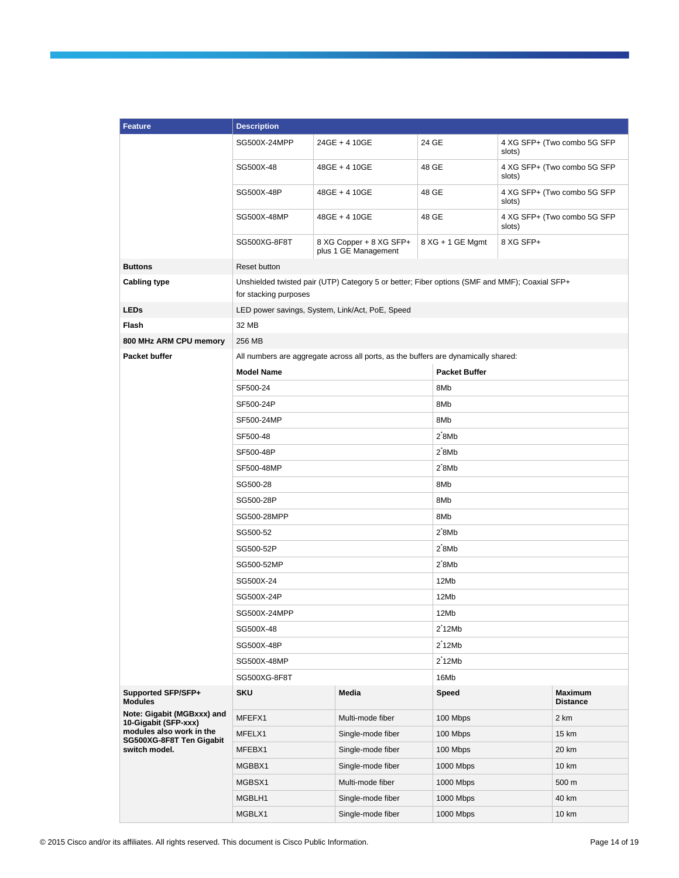| <b>Feature</b>                                       | <b>Description</b>    |                                                                                               |                      |           |                                   |  |
|------------------------------------------------------|-----------------------|-----------------------------------------------------------------------------------------------|----------------------|-----------|-----------------------------------|--|
|                                                      | SG500X-24MPP          | 24GE + 4 10GE                                                                                 | 24 GE                | slots)    | 4 XG SFP+ (Two combo 5G SFP)      |  |
|                                                      | SG500X-48             | 48GE + 4 10GE                                                                                 | 48 GE                | slots)    | 4 XG SFP+ (Two combo 5G SFP       |  |
|                                                      | SG500X-48P            | 48GE + 4 10GE                                                                                 | 48 GE                | slots)    | 4 XG SFP+ (Two combo 5G SFP       |  |
|                                                      | SG500X-48MP           | 48GE + 4 10GE                                                                                 | 48 GE                | slots)    | 4 XG SFP+ (Two combo 5G SFP       |  |
|                                                      | SG500XG-8F8T          | 8 XG Copper + 8 XG SFP+<br>plus 1 GE Management                                               | 8 XG + 1 GE Mgmt     | 8 XG SFP+ |                                   |  |
| <b>Buttons</b>                                       | Reset button          |                                                                                               |                      |           |                                   |  |
| <b>Cabling type</b>                                  | for stacking purposes | Unshielded twisted pair (UTP) Category 5 or better; Fiber options (SMF and MMF); Coaxial SFP+ |                      |           |                                   |  |
| <b>LEDs</b>                                          |                       | LED power savings, System, Link/Act, PoE, Speed                                               |                      |           |                                   |  |
| Flash                                                | 32 MB                 |                                                                                               |                      |           |                                   |  |
| 800 MHz ARM CPU memory                               | 256 MB                |                                                                                               |                      |           |                                   |  |
| Packet buffer                                        |                       | All numbers are aggregate across all ports, as the buffers are dynamically shared:            |                      |           |                                   |  |
|                                                      | <b>Model Name</b>     |                                                                                               | <b>Packet Buffer</b> |           |                                   |  |
|                                                      | SF500-24              |                                                                                               | 8M <sub>b</sub>      |           |                                   |  |
|                                                      | SF500-24P             |                                                                                               | 8M <sub>b</sub>      |           |                                   |  |
|                                                      | SF500-24MP            |                                                                                               | 8M <sub>b</sub>      |           |                                   |  |
|                                                      | SF500-48              |                                                                                               | $2^{\degree}$ 8Mb    |           |                                   |  |
|                                                      | SF500-48P             |                                                                                               | $2^{\degree}$ 8Mb    |           |                                   |  |
|                                                      | SF500-48MP            |                                                                                               | $2^{\degree}$ 8Mb    |           |                                   |  |
|                                                      | SG500-28              |                                                                                               | 8M <sub>b</sub>      |           |                                   |  |
|                                                      | SG500-28P             |                                                                                               | 8M <sub>b</sub>      |           |                                   |  |
|                                                      | SG500-28MPP           |                                                                                               | 8M <sub>b</sub>      |           |                                   |  |
|                                                      | SG500-52              |                                                                                               | $2^{\degree}$ 8Mb    |           |                                   |  |
|                                                      | SG500-52P             |                                                                                               | $2^{\degree}$ 8Mb    |           |                                   |  |
|                                                      | SG500-52MP            |                                                                                               | $2^{\degree}$ 8Mb    |           |                                   |  |
|                                                      | SG500X-24             |                                                                                               | 12Mb                 |           |                                   |  |
|                                                      | SG500X-24P            |                                                                                               | 12Mb                 |           |                                   |  |
|                                                      | SG500X-24MPP          |                                                                                               | 12Mb                 |           |                                   |  |
|                                                      | SG500X-48             |                                                                                               | $2^{\degree}$ 12Mb   |           |                                   |  |
|                                                      | SG500X-48P            |                                                                                               | $2^{\text{*}}12Mb$   |           |                                   |  |
|                                                      | SG500X-48MP           |                                                                                               | $2^{\text{*}}12Mb$   |           |                                   |  |
|                                                      | SG500XG-8F8T          |                                                                                               | 16Mb                 |           |                                   |  |
| Supported SFP/SFP+<br><b>Modules</b>                 | <b>SKU</b>            | Media                                                                                         | <b>Speed</b>         |           | <b>Maximum</b><br><b>Distance</b> |  |
| Note: Gigabit (MGBxxx) and<br>10-Gigabit (SFP-xxx)   | MFEFX1                | Multi-mode fiber                                                                              | 100 Mbps             |           | 2 km                              |  |
| modules also work in the<br>SG500XG-8F8T Ten Gigabit | MFELX1                | Single-mode fiber                                                                             | 100 Mbps             |           | 15 km                             |  |
| switch model.                                        | MFEBX1                | Single-mode fiber                                                                             | 100 Mbps             |           | 20 km                             |  |
|                                                      | MGBBX1                | Single-mode fiber                                                                             | 1000 Mbps            |           | 10 km                             |  |
|                                                      | MGBSX1                | Multi-mode fiber                                                                              | 1000 Mbps            |           | 500 m                             |  |
|                                                      | MGBLH1                | Single-mode fiber                                                                             | 1000 Mbps            |           | 40 km                             |  |
|                                                      | MGBLX1                | Single-mode fiber                                                                             | 1000 Mbps            |           | 10 km                             |  |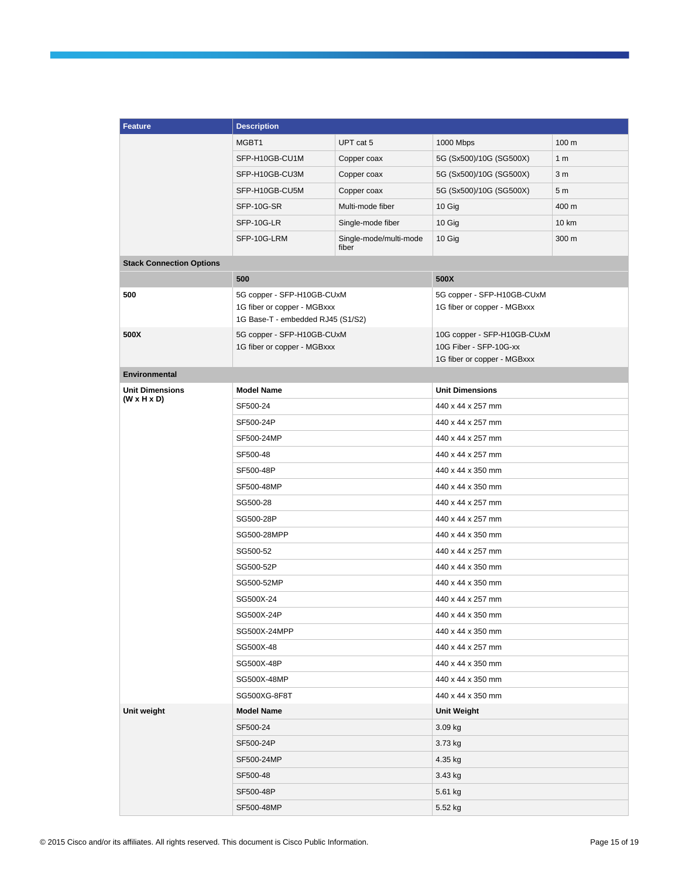| <b>Feature</b>                                    | <b>Description</b>                                                                             |                                 |                                                                                      |                |  |
|---------------------------------------------------|------------------------------------------------------------------------------------------------|---------------------------------|--------------------------------------------------------------------------------------|----------------|--|
|                                                   | MGBT1                                                                                          | UPT cat 5                       | 1000 Mbps                                                                            | 100 m          |  |
|                                                   | SFP-H10GB-CU1M                                                                                 | Copper coax                     | 5G (Sx500)/10G (SG500X)                                                              | 1 <sub>m</sub> |  |
|                                                   | SFP-H10GB-CU3M                                                                                 | Copper coax                     | 5G (Sx500)/10G (SG500X)                                                              | 3 <sub>m</sub> |  |
|                                                   | SFP-H10GB-CU5M                                                                                 | Copper coax                     | 5G (Sx500)/10G (SG500X)                                                              | 5 <sub>m</sub> |  |
|                                                   | SFP-10G-SR                                                                                     | Multi-mode fiber                | 10 Gig                                                                               | 400 m          |  |
|                                                   | SFP-10G-LR                                                                                     | Single-mode fiber               | 10 Gig                                                                               | 10 km          |  |
|                                                   | SFP-10G-LRM                                                                                    | Single-mode/multi-mode<br>fiber | 10 Gig                                                                               | 300 m          |  |
| <b>Stack Connection Options</b>                   |                                                                                                |                                 |                                                                                      |                |  |
|                                                   | 500                                                                                            |                                 | 500X                                                                                 |                |  |
| 500                                               | 5G copper - SFP-H10GB-CUxM<br>1G fiber or copper - MGBxxx<br>1G Base-T - embedded RJ45 (S1/S2) |                                 | 5G copper - SFP-H10GB-CUxM<br>1G fiber or copper - MGBxxx                            |                |  |
| 500X                                              | 5G copper - SFP-H10GB-CUxM<br>1G fiber or copper - MGBxxx                                      |                                 | 10G copper - SFP-H10GB-CUxM<br>10G Fiber - SFP-10G-xx<br>1G fiber or copper - MGBxxx |                |  |
| Environmental                                     |                                                                                                |                                 |                                                                                      |                |  |
| <b>Unit Dimensions</b><br>$(W \times H \times D)$ | <b>Model Name</b>                                                                              |                                 | <b>Unit Dimensions</b>                                                               |                |  |
|                                                   | SF500-24                                                                                       |                                 | 440 x 44 x 257 mm                                                                    |                |  |
|                                                   | SF500-24P                                                                                      |                                 | 440 x 44 x 257 mm                                                                    |                |  |
|                                                   | SF500-24MP                                                                                     |                                 | 440 x 44 x 257 mm                                                                    |                |  |
|                                                   | SF500-48                                                                                       |                                 | 440 x 44 x 257 mm                                                                    |                |  |
|                                                   | SF500-48P                                                                                      |                                 | 440 x 44 x 350 mm                                                                    |                |  |
|                                                   | SF500-48MP                                                                                     |                                 | 440 x 44 x 350 mm                                                                    |                |  |
|                                                   | SG500-28                                                                                       |                                 | 440 x 44 x 257 mm                                                                    |                |  |
|                                                   | SG500-28P                                                                                      |                                 | 440 x 44 x 257 mm                                                                    |                |  |
|                                                   | SG500-28MPP                                                                                    |                                 | 440 x 44 x 350 mm                                                                    |                |  |
|                                                   | SG500-52                                                                                       |                                 | 440 x 44 x 257 mm                                                                    |                |  |
|                                                   | SG500-52P                                                                                      |                                 | 440 x 44 x 350 mm                                                                    |                |  |
|                                                   | SG500-52MP                                                                                     |                                 | 440 x 44 x 350 mm                                                                    |                |  |
|                                                   | SG500X-24                                                                                      |                                 | 440 x 44 x 257 mm                                                                    |                |  |
|                                                   | SG500X-24P                                                                                     |                                 | 440 x 44 x 350 mm                                                                    |                |  |
|                                                   | SG500X-24MPP                                                                                   |                                 | 440 x 44 x 350 mm                                                                    |                |  |
|                                                   | SG500X-48                                                                                      |                                 | 440 x 44 x 257 mm                                                                    |                |  |
|                                                   | SG500X-48P                                                                                     |                                 | 440 x 44 x 350 mm                                                                    |                |  |
|                                                   | SG500X-48MP                                                                                    |                                 | 440 x 44 x 350 mm                                                                    |                |  |
|                                                   | SG500XG-8F8T                                                                                   |                                 | 440 x 44 x 350 mm                                                                    |                |  |
| Unit weight                                       | <b>Model Name</b>                                                                              |                                 | Unit Weight                                                                          |                |  |
|                                                   | SF500-24                                                                                       |                                 | 3.09 kg                                                                              |                |  |
|                                                   | SF500-24P                                                                                      |                                 | 3.73 kg                                                                              |                |  |
|                                                   | SF500-24MP                                                                                     |                                 | 4.35 kg                                                                              |                |  |
|                                                   | SF500-48                                                                                       |                                 | 3.43 kg                                                                              |                |  |
|                                                   | SF500-48P                                                                                      |                                 | 5.61 kg                                                                              |                |  |
|                                                   | SF500-48MP                                                                                     |                                 | 5.52 kg                                                                              |                |  |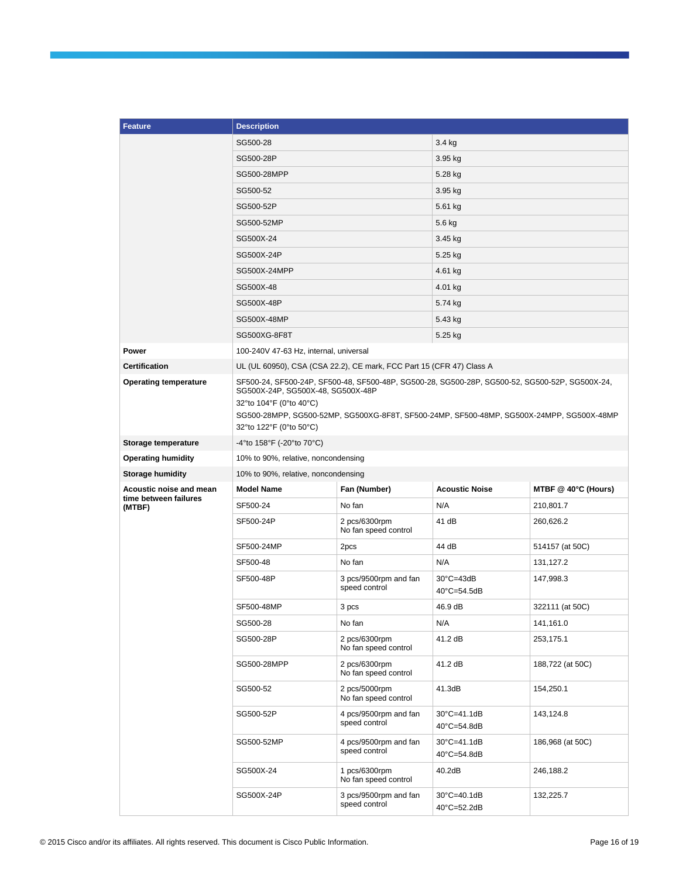| <b>Feature</b>                  | <b>Description</b>                                                                                                                                                                                                                                                                    |                                        |                                                |                     |  |
|---------------------------------|---------------------------------------------------------------------------------------------------------------------------------------------------------------------------------------------------------------------------------------------------------------------------------------|----------------------------------------|------------------------------------------------|---------------------|--|
|                                 | SG500-28                                                                                                                                                                                                                                                                              |                                        | 3.4 kg                                         |                     |  |
|                                 | SG500-28P                                                                                                                                                                                                                                                                             |                                        | $3.95$ kg                                      |                     |  |
|                                 | SG500-28MPP                                                                                                                                                                                                                                                                           |                                        | 5.28 kg                                        |                     |  |
|                                 | SG500-52                                                                                                                                                                                                                                                                              |                                        | 3.95 kg                                        |                     |  |
|                                 | SG500-52P                                                                                                                                                                                                                                                                             |                                        | 5.61 kg                                        |                     |  |
|                                 | SG500-52MP                                                                                                                                                                                                                                                                            |                                        | 5.6 kg                                         |                     |  |
|                                 | SG500X-24                                                                                                                                                                                                                                                                             |                                        | 3.45 kg                                        |                     |  |
|                                 | SG500X-24P                                                                                                                                                                                                                                                                            |                                        | 5.25 kg                                        |                     |  |
|                                 | SG500X-24MPP                                                                                                                                                                                                                                                                          |                                        | 4.61 kg                                        |                     |  |
|                                 | SG500X-48                                                                                                                                                                                                                                                                             |                                        | 4.01 kg                                        |                     |  |
|                                 | SG500X-48P                                                                                                                                                                                                                                                                            |                                        | 5.74 kg                                        |                     |  |
|                                 | SG500X-48MP                                                                                                                                                                                                                                                                           |                                        | 5.43 kg                                        |                     |  |
|                                 | SG500XG-8F8T                                                                                                                                                                                                                                                                          |                                        | 5.25 kg                                        |                     |  |
| Power                           | 100-240V 47-63 Hz, internal, universal                                                                                                                                                                                                                                                |                                        |                                                |                     |  |
| <b>Certification</b>            | UL (UL 60950), CSA (CSA 22.2), CE mark, FCC Part 15 (CFR 47) Class A                                                                                                                                                                                                                  |                                        |                                                |                     |  |
| <b>Operating temperature</b>    | SF500-24, SF500-24P, SF500-48, SF500-48P, SG500-28, SG500-28P, SG500-52, SG500-52P, SG500X-24,<br>SG500X-24P, SG500X-48, SG500X-48P<br>32°to 104°F (0°to 40°C)<br>SG500-28MPP, SG500-52MP, SG500XG-8F8T, SF500-24MP, SF500-48MP, SG500X-24MPP, SG500X-48MP<br>32°to 122°F (0°to 50°C) |                                        |                                                |                     |  |
| Storage temperature             | -4°to 158°F (-20°to 70°C)                                                                                                                                                                                                                                                             |                                        |                                                |                     |  |
| <b>Operating humidity</b>       | 10% to 90%, relative, noncondensing                                                                                                                                                                                                                                                   |                                        |                                                |                     |  |
| <b>Storage humidity</b>         | 10% to 90%, relative, noncondensing                                                                                                                                                                                                                                                   |                                        |                                                |                     |  |
| Acoustic noise and mean         | <b>Model Name</b>                                                                                                                                                                                                                                                                     | Fan (Number)                           | <b>Acoustic Noise</b>                          | MTBF @ 40°C (Hours) |  |
| time between failures<br>(MTBF) | SF500-24                                                                                                                                                                                                                                                                              | No fan                                 | N/A                                            | 210,801.7           |  |
|                                 | SF500-24P                                                                                                                                                                                                                                                                             | 2 pcs/6300rpm<br>No fan speed control  | 41 dB                                          | 260,626.2           |  |
|                                 | SF500-24MP                                                                                                                                                                                                                                                                            | 2pcs                                   | 44 dB                                          | 514157 (at 50C)     |  |
|                                 | SF500-48                                                                                                                                                                                                                                                                              | No fan                                 | N/A                                            | 131,127.2           |  |
|                                 | SF500-48P                                                                                                                                                                                                                                                                             | 3 pcs/9500rpm and fan<br>speed control | $30^{\circ}$ C=43dB<br>$40^{\circ}$ C=54.5dB   | 147,998.3           |  |
|                                 | SF500-48MP                                                                                                                                                                                                                                                                            | 3 pcs                                  | 46.9 dB                                        | 322111 (at 50C)     |  |
|                                 | SG500-28                                                                                                                                                                                                                                                                              | No fan                                 | N/A                                            | 141,161.0           |  |
|                                 | SG500-28P                                                                                                                                                                                                                                                                             | 2 pcs/6300rpm<br>No fan speed control  | 41.2 dB                                        | 253,175.1           |  |
|                                 | SG500-28MPP                                                                                                                                                                                                                                                                           | 2 pcs/6300rpm<br>No fan speed control  | 41.2 dB                                        | 188,722 (at 50C)    |  |
|                                 | SG500-52                                                                                                                                                                                                                                                                              | 2 pcs/5000rpm<br>No fan speed control  | 41.3dB                                         | 154,250.1           |  |
|                                 | SG500-52P                                                                                                                                                                                                                                                                             | 4 pcs/9500rpm and fan<br>speed control | $30^{\circ}$ C=41.1dB<br>$40^{\circ}$ C=54.8dB | 143,124.8           |  |
|                                 | SG500-52MP                                                                                                                                                                                                                                                                            | 4 pcs/9500rpm and fan<br>speed control | $30^{\circ}$ C=41.1dB<br>40°C=54.8dB           | 186,968 (at 50C)    |  |
|                                 | SG500X-24                                                                                                                                                                                                                                                                             | 1 pcs/6300rpm<br>No fan speed control  | 40.2dB                                         | 246,188.2           |  |
|                                 | SG500X-24P                                                                                                                                                                                                                                                                            | 3 pcs/9500rpm and fan<br>speed control | $30^{\circ}$ C=40.1dB<br>40°C=52.2dB           | 132,225.7           |  |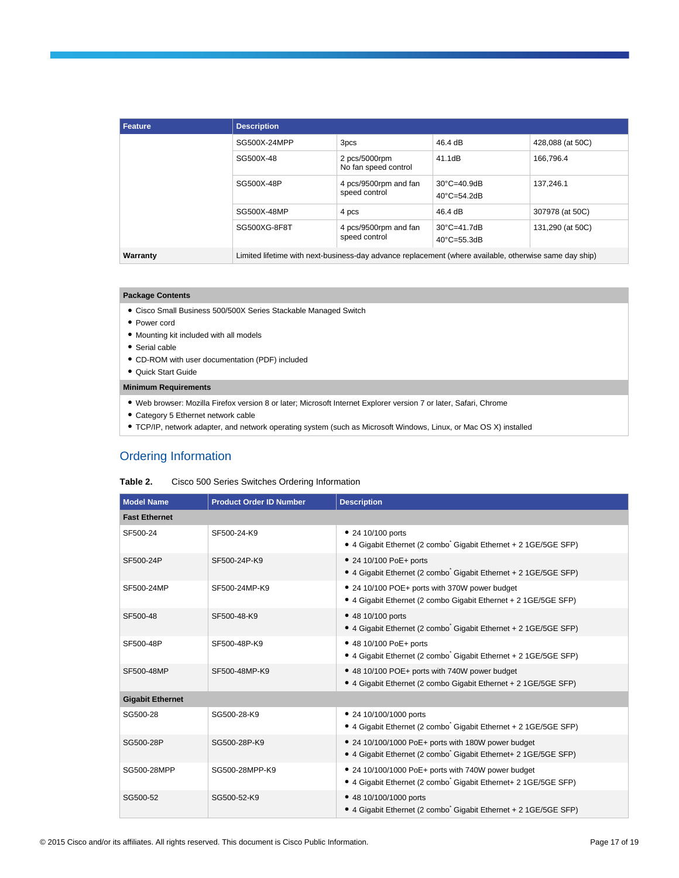| <b>Feature</b> | <b>Description</b>                                                                                     |                                        |                                                |                  |  |
|----------------|--------------------------------------------------------------------------------------------------------|----------------------------------------|------------------------------------------------|------------------|--|
|                | SG500X-24MPP                                                                                           | 3pcs                                   | 46.4 dB                                        | 428,088 (at 50C) |  |
|                | SG500X-48                                                                                              | 2 pcs/5000rpm<br>No fan speed control  | 41.1dB                                         | 166,796.4        |  |
|                | SG500X-48P                                                                                             | 4 pcs/9500rpm and fan<br>speed control | $30^{\circ}$ C=40.9dB<br>$40^{\circ}$ C=54.2dB | 137.246.1        |  |
|                | SG500X-48MP                                                                                            | 4 pcs                                  | 46.4 dB                                        | 307978 (at 50C)  |  |
|                | SG500XG-8F8T                                                                                           | 4 pcs/9500rpm and fan<br>speed control | $30^{\circ}$ C=41.7dB<br>$40^{\circ}$ C=55.3dB | 131,290 (at 50C) |  |
| Warranty       | Limited lifetime with next-business-day advance replacement (where available, otherwise same day ship) |                                        |                                                |                  |  |

#### **Package Contents**

- Cisco Small Business 500/500X Series Stackable Managed Switch
- Power cord
- Mounting kit included with all models
- Serial cable
- CD-ROM with user documentation (PDF) included
- Quick Start Guide

# **Minimum Requirements**

- Web browser: Mozilla Firefox version 8 or later; Microsoft Internet Explorer version 7 or later, Safari, Chrome
- Category 5 Ethernet network cable
- TCP/IP, network adapter, and network operating system (such as Microsoft Windows, Linux, or Mac OS X) installed

# Ordering Information

| Table 2. | Cisco 500 Series Switches Ordering Information |  |  |
|----------|------------------------------------------------|--|--|
|          |                                                |  |  |

| <b>Model Name</b>       | <b>Product Order ID Number</b> | <b>Description</b>                                                                                                   |  |  |  |
|-------------------------|--------------------------------|----------------------------------------------------------------------------------------------------------------------|--|--|--|
| <b>Fast Ethernet</b>    |                                |                                                                                                                      |  |  |  |
| SF500-24                | SF500-24-K9                    | • 24 10/100 ports<br>• 4 Gigabit Ethernet (2 combo Gigabit Ethernet + 2 1 GE/5 GE SFP)                               |  |  |  |
| SF500-24P               | SF500-24P-K9                   | • 24 10/100 PoE+ ports<br>• 4 Gigabit Ethernet (2 combo Gigabit Ethernet + 2 1GE/5GE SFP)                            |  |  |  |
| SF500-24MP              | SF500-24MP-K9                  | • 24 10/100 POE+ ports with 370W power budget<br>• 4 Gigabit Ethernet (2 combo Gigabit Ethernet + 2 1 GE/5 GE SFP)   |  |  |  |
| SF500-48                | SF500-48-K9                    | • 48 10/100 ports<br>• 4 Gigabit Ethernet (2 combo Gigabit Ethernet + 2 1 GE/5 GE SFP)                               |  |  |  |
| SF500-48P               | SF500-48P-K9                   | • 48 10/100 PoE+ ports<br>• 4 Gigabit Ethernet (2 combo Gigabit Ethernet + 2 1GE/5GE SFP)                            |  |  |  |
| SF500-48MP              | SF500-48MP-K9                  | • 48 10/100 POE+ ports with 740W power budget<br>• 4 Gigabit Ethernet (2 combo Gigabit Ethernet + 2 1 GE/5 GE SFP)   |  |  |  |
| <b>Gigabit Ethernet</b> |                                |                                                                                                                      |  |  |  |
| SG500-28                | SG500-28-K9                    | • 24 10/100/1000 ports<br>• 4 Gigabit Ethernet (2 combo Gigabit Ethernet + 2 1GE/5GE SFP)                            |  |  |  |
| SG500-28P               | SG500-28P-K9                   | • 24 10/100/1000 PoE+ ports with 180W power budget<br>• 4 Gigabit Ethernet (2 combo Gigabit Ethernet+ 2 1GE/5GE SFP) |  |  |  |
| SG500-28MPP             | SG500-28MPP-K9                 | • 24 10/100/1000 PoE+ ports with 740W power budget<br>• 4 Gigabit Ethernet (2 combo Gigabit Ethernet+ 2 1GE/5GE SFP) |  |  |  |
| SG500-52                | SG500-52-K9                    | • 48 10/100/1000 ports<br>• 4 Gigabit Ethernet (2 combo Gigabit Ethernet + 2 1GE/5GE SFP)                            |  |  |  |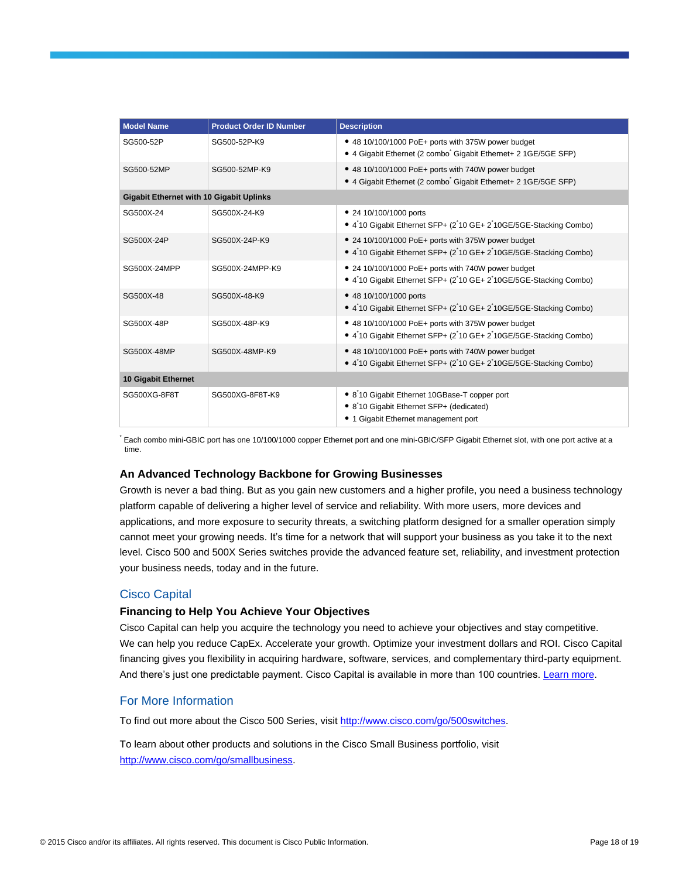| <b>Model Name</b>                               | <b>Product Order ID Number</b> | <b>Description</b>                                                                                                                             |  |  |  |
|-------------------------------------------------|--------------------------------|------------------------------------------------------------------------------------------------------------------------------------------------|--|--|--|
| SG500-52P                                       | SG500-52P-K9                   | • 48 10/100/1000 PoE+ ports with 375W power budget<br>• 4 Gigabit Ethernet (2 combo <sup>®</sup> Gigabit Ethernet+ 2 1GE/5GE SFP)              |  |  |  |
| SG500-52MP                                      | SG500-52MP-K9                  | • 48 10/100/1000 PoE+ ports with 740W power budget<br>• 4 Gigabit Ethernet (2 combo Gigabit Ethernet+ 2 1GE/5GE SFP)                           |  |  |  |
| <b>Gigabit Ethernet with 10 Gigabit Uplinks</b> |                                |                                                                                                                                                |  |  |  |
| SG500X-24                                       | SG500X-24-K9                   | • 24 10/100/1000 ports<br>• 410 Gigabit Ethernet SFP+ (210 GE+ 210GE/5GE-Stacking Combo)                                                       |  |  |  |
| SG500X-24P                                      | SG500X-24P-K9                  | • 24 10/100/1000 PoE+ ports with 375W power budget<br>• 410 Gigabit Ethernet SFP+ (210 GE+ 210GE/5GE-Stacking Combo)                           |  |  |  |
| SG500X-24MPP                                    | SG500X-24MPP-K9                | • 24 10/100/1000 PoE+ ports with 740W power budget<br>• 410 Gigabit Ethernet SFP+ (210 GE+ 210GE/5GE-Stacking Combo)                           |  |  |  |
| SG500X-48                                       | SG500X-48-K9                   | • 48 10/100/1000 ports<br>• 410 Gigabit Ethernet SFP+ (210 GE+ 210GE/5GE-Stacking Combo)                                                       |  |  |  |
| SG500X-48P                                      | SG500X-48P-K9                  | • 48 10/100/1000 PoE+ ports with 375W power budget<br>• 410 Gigabit Ethernet SFP+ (210 GE+ 210GE/5GE-Stacking Combo)                           |  |  |  |
| SG500X-48MP                                     | SG500X-48MP-K9                 | • 48 10/100/1000 PoE+ ports with 740W power budget<br>• 410 Gigabit Ethernet SFP+ (210 GE+ 210GE/5GE-Stacking Combo)                           |  |  |  |
| 10 Gigabit Ethernet                             |                                |                                                                                                                                                |  |  |  |
| SG500XG-8F8T                                    | SG500XG-8F8T-K9                | • 8 <sup>'</sup> 10 Gigabit Ethernet 10GBase-T copper port<br>• 8 10 Gigabit Ethernet SFP+ (dedicated)<br>• 1 Gigabit Ethernet management port |  |  |  |

\* Each combo mini-GBIC port has one 10/100/1000 copper Ethernet port and one mini-GBIC/SFP Gigabit Ethernet slot, with one port active at a time.

## **An Advanced Technology Backbone for Growing Businesses**

Growth is never a bad thing. But as you gain new customers and a higher profile, you need a business technology platform capable of delivering a higher level of service and reliability. With more users, more devices and applications, and more exposure to security threats, a switching platform designed for a smaller operation simply cannot meet your growing needs. It's time for a network that will support your business as you take it to the next level. Cisco 500 and 500X Series switches provide the advanced feature set, reliability, and investment protection your business needs, today and in the future.

## Cisco Capital

#### **Financing to Help You Achieve Your Objectives**

Cisco Capital can help you acquire the technology you need to achieve your objectives and stay competitive. We can help you reduce CapEx. Accelerate your growth. Optimize your investment dollars and ROI. Cisco Capital financing gives you flexibility in acquiring hardware, software, services, and complementary third-party equipment. And there's just one predictable payment. Cisco Capital is available in more than 100 countries. [Learn more.](http://www.cisco.com/web/ciscocapital/americas/us/index.html)

# For More Information

To find out more about the Cisco 500 Series, visit [http://www.cisco.com/go/500switches.](http://www.cisco.com/go/500switches)

To learn about other products and solutions in the Cisco Small Business portfolio, visit [http://www.cisco.com/go/smallbusiness.](http://www.cisco.com/go/smallbusiness)